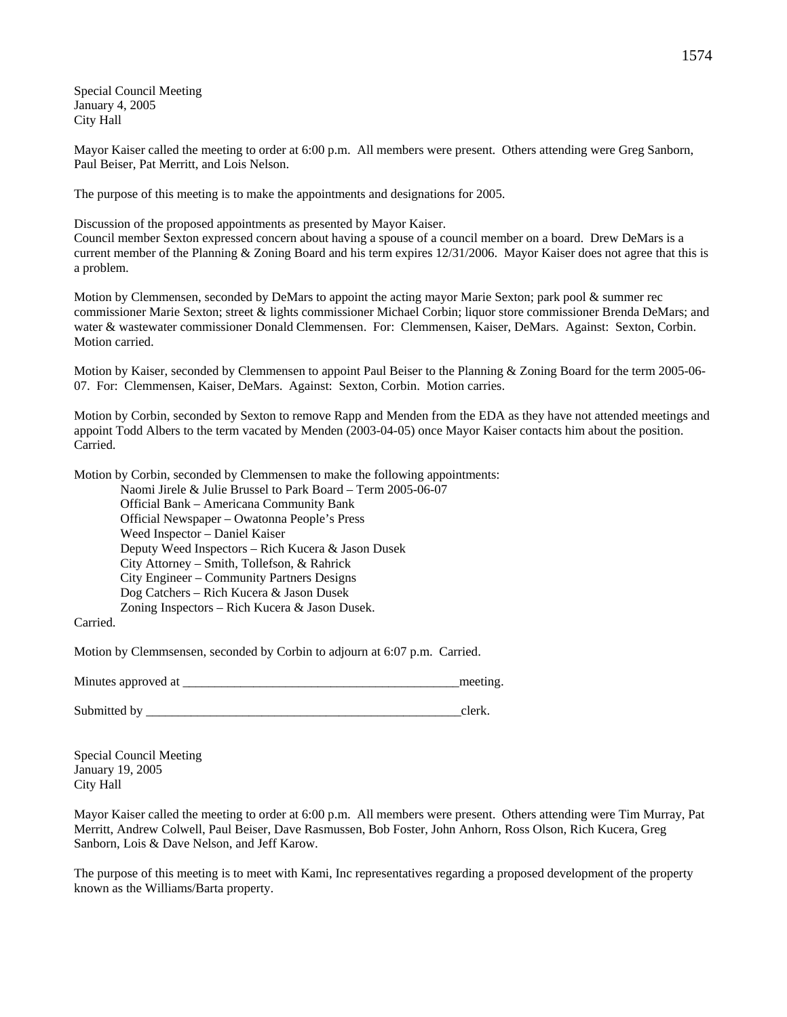Special Council Meeting January 4, 2005 City Hall

Mayor Kaiser called the meeting to order at 6:00 p.m. All members were present. Others attending were Greg Sanborn, Paul Beiser, Pat Merritt, and Lois Nelson.

The purpose of this meeting is to make the appointments and designations for 2005.

Discussion of the proposed appointments as presented by Mayor Kaiser.

Council member Sexton expressed concern about having a spouse of a council member on a board. Drew DeMars is a current member of the Planning & Zoning Board and his term expires 12/31/2006. Mayor Kaiser does not agree that this is a problem.

Motion by Clemmensen, seconded by DeMars to appoint the acting mayor Marie Sexton; park pool & summer rec commissioner Marie Sexton; street & lights commissioner Michael Corbin; liquor store commissioner Brenda DeMars; and water & wastewater commissioner Donald Clemmensen. For: Clemmensen, Kaiser, DeMars. Against: Sexton, Corbin. Motion carried.

Motion by Kaiser, seconded by Clemmensen to appoint Paul Beiser to the Planning & Zoning Board for the term 2005-06- 07. For: Clemmensen, Kaiser, DeMars. Against: Sexton, Corbin. Motion carries.

Motion by Corbin, seconded by Sexton to remove Rapp and Menden from the EDA as they have not attended meetings and appoint Todd Albers to the term vacated by Menden (2003-04-05) once Mayor Kaiser contacts him about the position. Carried.

Motion by Corbin, seconded by Clemmensen to make the following appointments:

Naomi Jirele & Julie Brussel to Park Board – Term 2005-06-07 Official Bank – Americana Community Bank Official Newspaper – Owatonna People's Press Weed Inspector – Daniel Kaiser Deputy Weed Inspectors – Rich Kucera & Jason Dusek City Attorney – Smith, Tollefson, & Rahrick City Engineer – Community Partners Designs Dog Catchers – Rich Kucera & Jason Dusek Zoning Inspectors – Rich Kucera & Jason Dusek.

Carried.

Motion by Clemmsensen, seconded by Corbin to adjourn at 6:07 p.m. Carried.

Minutes approved at \_\_\_\_\_\_\_\_\_\_\_\_\_\_\_\_\_\_\_\_\_\_\_\_\_\_\_\_\_\_\_\_\_\_\_\_\_\_\_\_\_\_\_meeting.

Submitted by \_\_\_\_\_\_\_\_\_\_\_\_\_\_\_\_\_\_\_\_\_\_\_\_\_\_\_\_\_\_\_\_\_\_\_\_\_\_\_\_\_\_\_\_\_\_\_\_\_clerk.

Special Council Meeting January 19, 2005 City Hall

Mayor Kaiser called the meeting to order at 6:00 p.m. All members were present. Others attending were Tim Murray, Pat Merritt, Andrew Colwell, Paul Beiser, Dave Rasmussen, Bob Foster, John Anhorn, Ross Olson, Rich Kucera, Greg Sanborn, Lois & Dave Nelson, and Jeff Karow.

The purpose of this meeting is to meet with Kami, Inc representatives regarding a proposed development of the property known as the Williams/Barta property.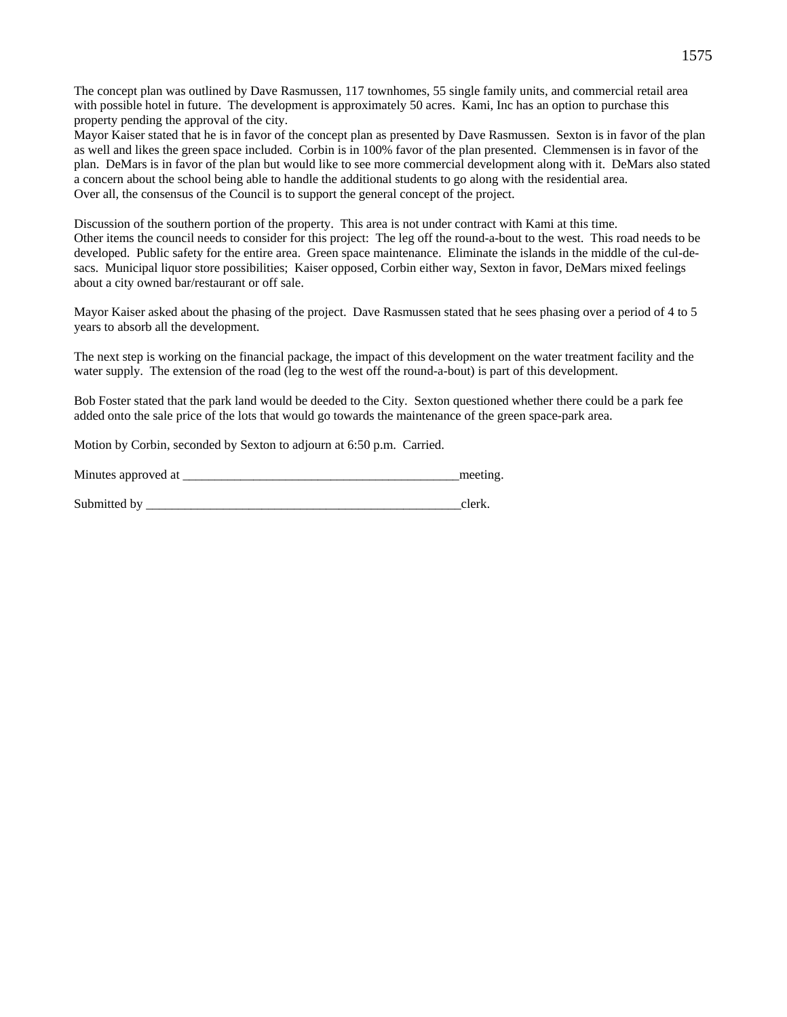The concept plan was outlined by Dave Rasmussen, 117 townhomes, 55 single family units, and commercial retail area with possible hotel in future. The development is approximately 50 acres. Kami, Inc has an option to purchase this property pending the approval of the city.

Mayor Kaiser stated that he is in favor of the concept plan as presented by Dave Rasmussen. Sexton is in favor of the plan as well and likes the green space included. Corbin is in 100% favor of the plan presented. Clemmensen is in favor of the plan. DeMars is in favor of the plan but would like to see more commercial development along with it. DeMars also stated a concern about the school being able to handle the additional students to go along with the residential area. Over all, the consensus of the Council is to support the general concept of the project.

Discussion of the southern portion of the property. This area is not under contract with Kami at this time. Other items the council needs to consider for this project: The leg off the round-a-bout to the west. This road needs to be developed. Public safety for the entire area. Green space maintenance. Eliminate the islands in the middle of the cul-desacs. Municipal liquor store possibilities; Kaiser opposed, Corbin either way, Sexton in favor, DeMars mixed feelings about a city owned bar/restaurant or off sale.

Mayor Kaiser asked about the phasing of the project. Dave Rasmussen stated that he sees phasing over a period of 4 to 5 years to absorb all the development.

The next step is working on the financial package, the impact of this development on the water treatment facility and the water supply. The extension of the road (leg to the west off the round-a-bout) is part of this development.

Bob Foster stated that the park land would be deeded to the City. Sexton questioned whether there could be a park fee added onto the sale price of the lots that would go towards the maintenance of the green space-park area.

Motion by Corbin, seconded by Sexton to adjourn at 6:50 p.m. Carried.

| Minutes approved at |  |  |
|---------------------|--|--|
|---------------------|--|--|

Submitted by  $\Box$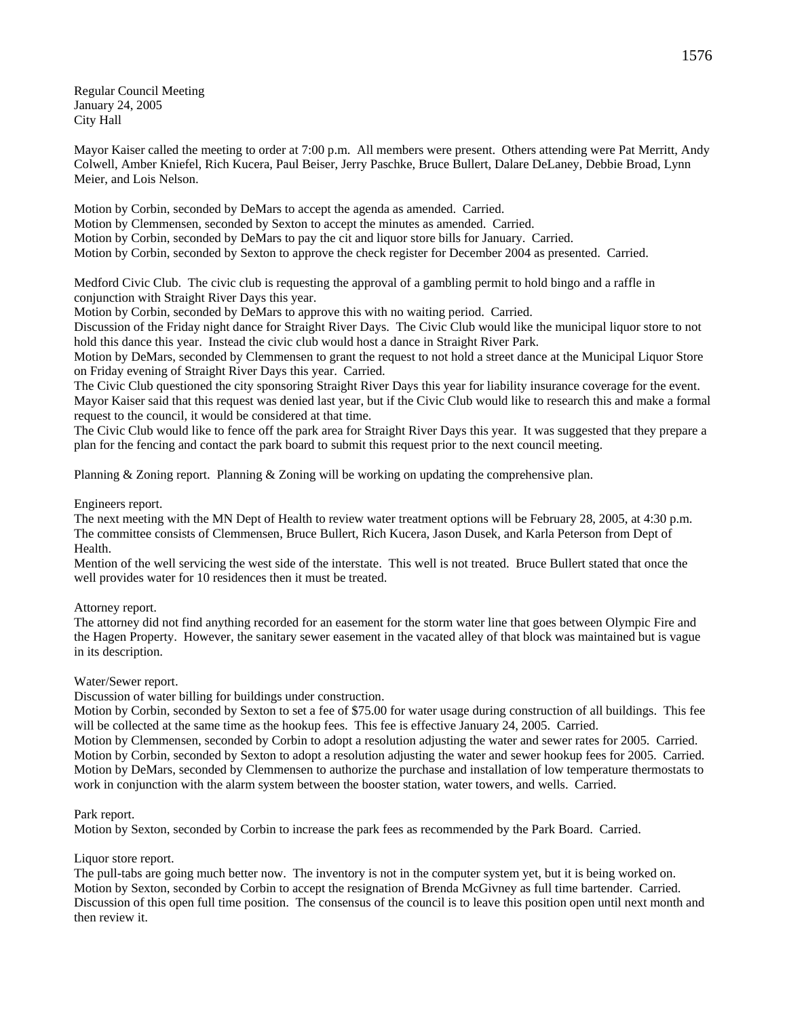Regular Council Meeting January 24, 2005 City Hall

Mayor Kaiser called the meeting to order at 7:00 p.m. All members were present. Others attending were Pat Merritt, Andy Colwell, Amber Kniefel, Rich Kucera, Paul Beiser, Jerry Paschke, Bruce Bullert, Dalare DeLaney, Debbie Broad, Lynn Meier, and Lois Nelson.

Motion by Corbin, seconded by DeMars to accept the agenda as amended. Carried. Motion by Clemmensen, seconded by Sexton to accept the minutes as amended. Carried. Motion by Corbin, seconded by DeMars to pay the cit and liquor store bills for January. Carried. Motion by Corbin, seconded by Sexton to approve the check register for December 2004 as presented. Carried.

Medford Civic Club. The civic club is requesting the approval of a gambling permit to hold bingo and a raffle in conjunction with Straight River Days this year.

Motion by Corbin, seconded by DeMars to approve this with no waiting period. Carried.

Discussion of the Friday night dance for Straight River Days. The Civic Club would like the municipal liquor store to not hold this dance this year. Instead the civic club would host a dance in Straight River Park.

Motion by DeMars, seconded by Clemmensen to grant the request to not hold a street dance at the Municipal Liquor Store on Friday evening of Straight River Days this year. Carried.

The Civic Club questioned the city sponsoring Straight River Days this year for liability insurance coverage for the event. Mayor Kaiser said that this request was denied last year, but if the Civic Club would like to research this and make a formal request to the council, it would be considered at that time.

The Civic Club would like to fence off the park area for Straight River Days this year. It was suggested that they prepare a plan for the fencing and contact the park board to submit this request prior to the next council meeting.

Planning & Zoning report. Planning & Zoning will be working on updating the comprehensive plan.

## Engineers report.

The next meeting with the MN Dept of Health to review water treatment options will be February 28, 2005, at 4:30 p.m. The committee consists of Clemmensen, Bruce Bullert, Rich Kucera, Jason Dusek, and Karla Peterson from Dept of Health.

Mention of the well servicing the west side of the interstate. This well is not treated. Bruce Bullert stated that once the well provides water for 10 residences then it must be treated.

### Attorney report.

The attorney did not find anything recorded for an easement for the storm water line that goes between Olympic Fire and the Hagen Property. However, the sanitary sewer easement in the vacated alley of that block was maintained but is vague in its description.

### Water/Sewer report.

Discussion of water billing for buildings under construction.

Motion by Corbin, seconded by Sexton to set a fee of \$75.00 for water usage during construction of all buildings. This fee will be collected at the same time as the hookup fees. This fee is effective January 24, 2005. Carried.

Motion by Clemmensen, seconded by Corbin to adopt a resolution adjusting the water and sewer rates for 2005. Carried. Motion by Corbin, seconded by Sexton to adopt a resolution adjusting the water and sewer hookup fees for 2005. Carried. Motion by DeMars, seconded by Clemmensen to authorize the purchase and installation of low temperature thermostats to work in conjunction with the alarm system between the booster station, water towers, and wells. Carried.

### Park report.

Motion by Sexton, seconded by Corbin to increase the park fees as recommended by the Park Board. Carried.

### Liquor store report.

The pull-tabs are going much better now. The inventory is not in the computer system yet, but it is being worked on. Motion by Sexton, seconded by Corbin to accept the resignation of Brenda McGivney as full time bartender. Carried. Discussion of this open full time position. The consensus of the council is to leave this position open until next month and then review it.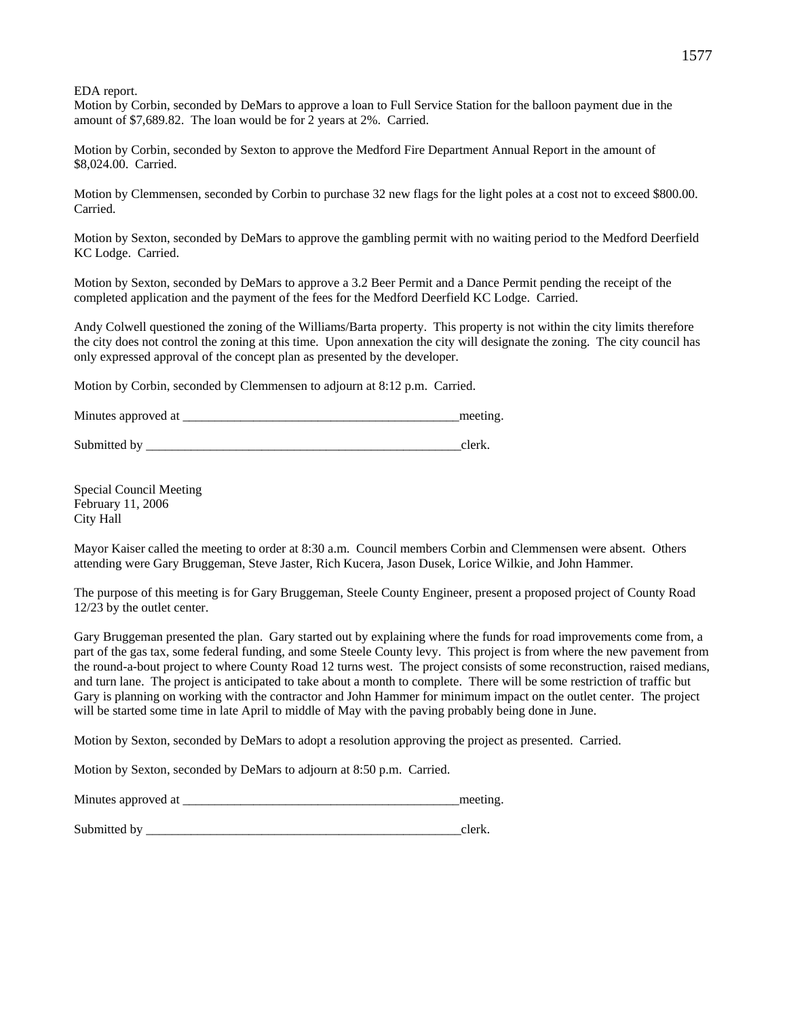EDA report.

Motion by Corbin, seconded by DeMars to approve a loan to Full Service Station for the balloon payment due in the amount of \$7,689.82. The loan would be for 2 years at 2%. Carried.

Motion by Corbin, seconded by Sexton to approve the Medford Fire Department Annual Report in the amount of \$8,024.00. Carried.

Motion by Clemmensen, seconded by Corbin to purchase 32 new flags for the light poles at a cost not to exceed \$800.00. Carried.

Motion by Sexton, seconded by DeMars to approve the gambling permit with no waiting period to the Medford Deerfield KC Lodge. Carried.

Motion by Sexton, seconded by DeMars to approve a 3.2 Beer Permit and a Dance Permit pending the receipt of the completed application and the payment of the fees for the Medford Deerfield KC Lodge. Carried.

Andy Colwell questioned the zoning of the Williams/Barta property. This property is not within the city limits therefore the city does not control the zoning at this time. Upon annexation the city will designate the zoning. The city council has only expressed approval of the concept plan as presented by the developer.

Motion by Corbin, seconded by Clemmensen to adjourn at 8:12 p.m. Carried.

| Minutes approved at |  |  |
|---------------------|--|--|
|---------------------|--|--|

Submitted by \_\_\_\_\_\_\_\_\_\_\_\_\_\_\_\_\_\_\_\_\_\_\_\_\_\_\_\_\_\_\_\_\_\_\_\_\_\_\_\_\_\_\_\_\_\_\_\_\_clerk.

Special Council Meeting February 11, 2006 City Hall

Mayor Kaiser called the meeting to order at 8:30 a.m. Council members Corbin and Clemmensen were absent. Others attending were Gary Bruggeman, Steve Jaster, Rich Kucera, Jason Dusek, Lorice Wilkie, and John Hammer.

The purpose of this meeting is for Gary Bruggeman, Steele County Engineer, present a proposed project of County Road 12/23 by the outlet center.

Gary Bruggeman presented the plan. Gary started out by explaining where the funds for road improvements come from, a part of the gas tax, some federal funding, and some Steele County levy. This project is from where the new pavement from the round-a-bout project to where County Road 12 turns west. The project consists of some reconstruction, raised medians, and turn lane. The project is anticipated to take about a month to complete. There will be some restriction of traffic but Gary is planning on working with the contractor and John Hammer for minimum impact on the outlet center. The project will be started some time in late April to middle of May with the paving probably being done in June.

Motion by Sexton, seconded by DeMars to adopt a resolution approving the project as presented. Carried.

Motion by Sexton, seconded by DeMars to adjourn at 8:50 p.m. Carried.

| Minutes approved at |  |
|---------------------|--|
|                     |  |

Submitted by  $\qquad \qquad$  clerk.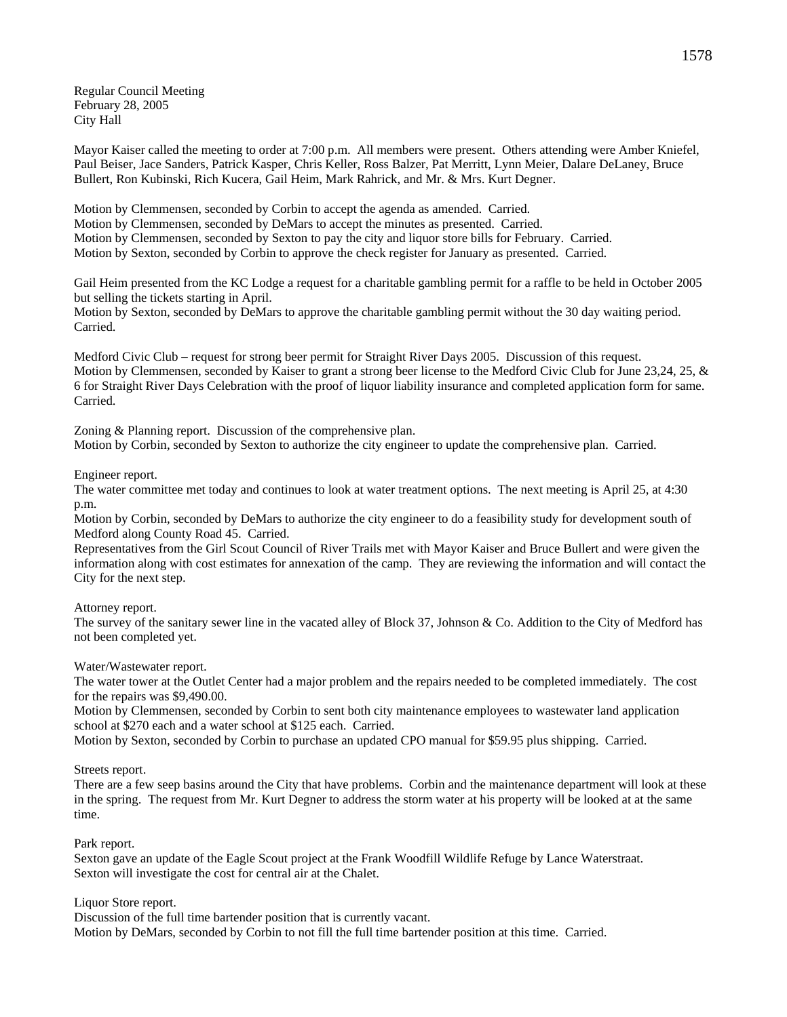Regular Council Meeting February 28, 2005 City Hall

Mayor Kaiser called the meeting to order at 7:00 p.m. All members were present. Others attending were Amber Kniefel, Paul Beiser, Jace Sanders, Patrick Kasper, Chris Keller, Ross Balzer, Pat Merritt, Lynn Meier, Dalare DeLaney, Bruce Bullert, Ron Kubinski, Rich Kucera, Gail Heim, Mark Rahrick, and Mr. & Mrs. Kurt Degner.

Motion by Clemmensen, seconded by Corbin to accept the agenda as amended. Carried. Motion by Clemmensen, seconded by DeMars to accept the minutes as presented. Carried. Motion by Clemmensen, seconded by Sexton to pay the city and liquor store bills for February. Carried. Motion by Sexton, seconded by Corbin to approve the check register for January as presented. Carried.

Gail Heim presented from the KC Lodge a request for a charitable gambling permit for a raffle to be held in October 2005 but selling the tickets starting in April.

Motion by Sexton, seconded by DeMars to approve the charitable gambling permit without the 30 day waiting period. Carried.

Medford Civic Club – request for strong beer permit for Straight River Days 2005. Discussion of this request. Motion by Clemmensen, seconded by Kaiser to grant a strong beer license to the Medford Civic Club for June 23,24, 25, & 6 for Straight River Days Celebration with the proof of liquor liability insurance and completed application form for same. Carried.

Zoning & Planning report. Discussion of the comprehensive plan. Motion by Corbin, seconded by Sexton to authorize the city engineer to update the comprehensive plan. Carried.

Engineer report.

The water committee met today and continues to look at water treatment options. The next meeting is April 25, at 4:30 p.m.

Motion by Corbin, seconded by DeMars to authorize the city engineer to do a feasibility study for development south of Medford along County Road 45. Carried.

Representatives from the Girl Scout Council of River Trails met with Mayor Kaiser and Bruce Bullert and were given the information along with cost estimates for annexation of the camp. They are reviewing the information and will contact the City for the next step.

Attorney report.

The survey of the sanitary sewer line in the vacated alley of Block 37, Johnson & Co. Addition to the City of Medford has not been completed yet.

Water/Wastewater report.

The water tower at the Outlet Center had a major problem and the repairs needed to be completed immediately. The cost for the repairs was \$9,490.00.

Motion by Clemmensen, seconded by Corbin to sent both city maintenance employees to wastewater land application school at \$270 each and a water school at \$125 each. Carried.

Motion by Sexton, seconded by Corbin to purchase an updated CPO manual for \$59.95 plus shipping. Carried.

Streets report.

There are a few seep basins around the City that have problems. Corbin and the maintenance department will look at these in the spring. The request from Mr. Kurt Degner to address the storm water at his property will be looked at at the same time.

Park report.

Sexton gave an update of the Eagle Scout project at the Frank Woodfill Wildlife Refuge by Lance Waterstraat. Sexton will investigate the cost for central air at the Chalet.

Liquor Store report.

Discussion of the full time bartender position that is currently vacant. Motion by DeMars, seconded by Corbin to not fill the full time bartender position at this time. Carried.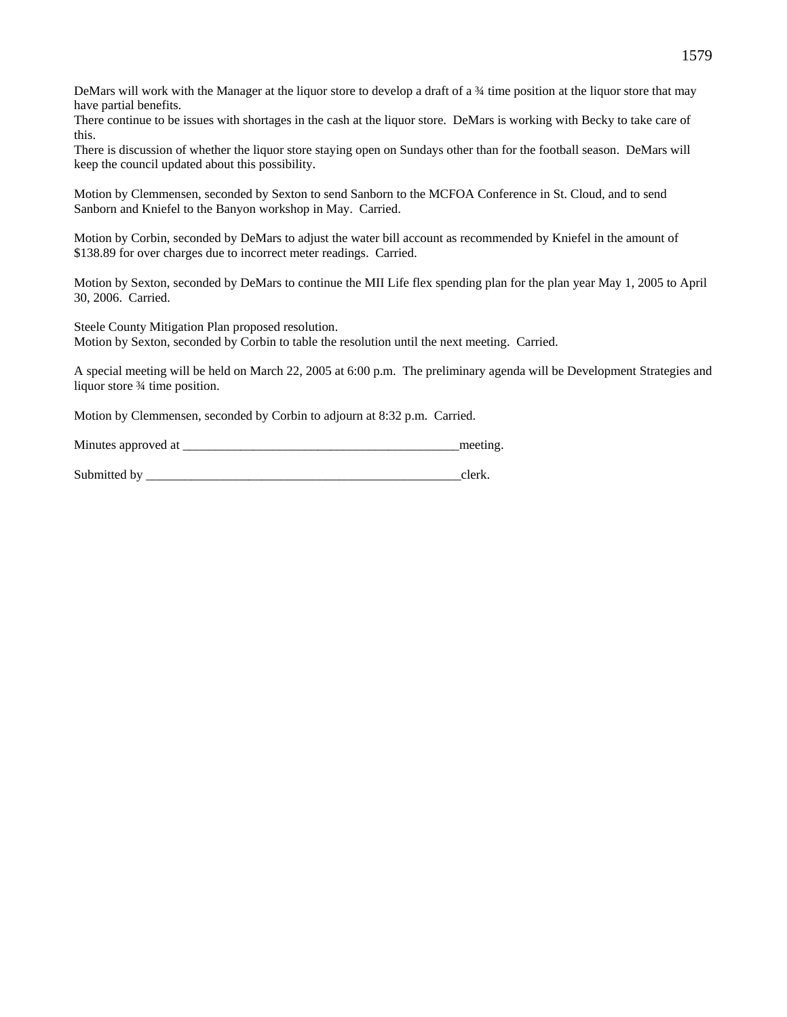DeMars will work with the Manager at the liquor store to develop a draft of a ¾ time position at the liquor store that may have partial benefits.

There continue to be issues with shortages in the cash at the liquor store. DeMars is working with Becky to take care of this.

There is discussion of whether the liquor store staying open on Sundays other than for the football season. DeMars will keep the council updated about this possibility.

Motion by Clemmensen, seconded by Sexton to send Sanborn to the MCFOA Conference in St. Cloud, and to send Sanborn and Kniefel to the Banyon workshop in May. Carried.

Motion by Corbin, seconded by DeMars to adjust the water bill account as recommended by Kniefel in the amount of \$138.89 for over charges due to incorrect meter readings. Carried.

Motion by Sexton, seconded by DeMars to continue the MII Life flex spending plan for the plan year May 1, 2005 to April 30, 2006. Carried.

Steele County Mitigation Plan proposed resolution. Motion by Sexton, seconded by Corbin to table the resolution until the next meeting. Carried.

A special meeting will be held on March 22, 2005 at 6:00 p.m. The preliminary agenda will be Development Strategies and liquor store  $\frac{3}{4}$  time position.

Motion by Clemmensen, seconded by Corbin to adjourn at 8:32 p.m. Carried.

Minutes approved at \_\_\_\_\_\_\_\_\_\_\_\_\_\_\_\_\_\_\_\_\_\_\_\_\_\_\_\_\_\_\_\_\_\_\_\_\_\_\_\_\_\_\_meeting.

Submitted by  $\qquad \qquad$  clerk.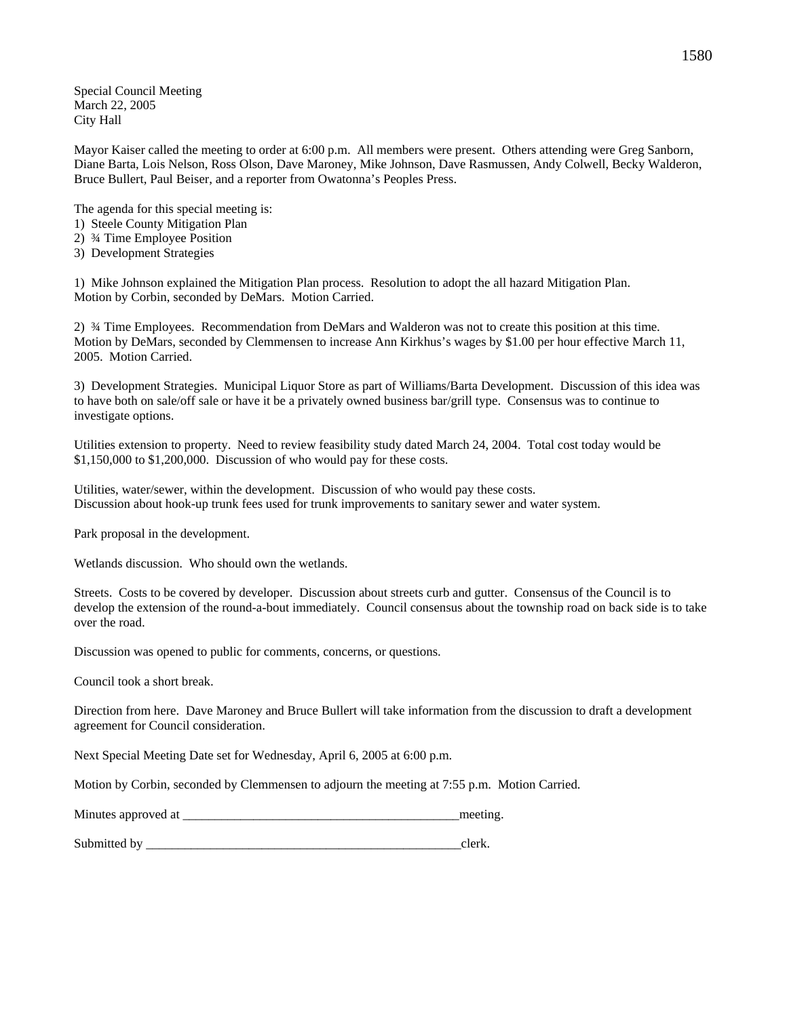Special Council Meeting March 22, 2005 City Hall

Mayor Kaiser called the meeting to order at 6:00 p.m. All members were present. Others attending were Greg Sanborn, Diane Barta, Lois Nelson, Ross Olson, Dave Maroney, Mike Johnson, Dave Rasmussen, Andy Colwell, Becky Walderon, Bruce Bullert, Paul Beiser, and a reporter from Owatonna's Peoples Press.

The agenda for this special meeting is:

- 1) Steele County Mitigation Plan
- 2) ¾ Time Employee Position
- 3) Development Strategies

1) Mike Johnson explained the Mitigation Plan process. Resolution to adopt the all hazard Mitigation Plan. Motion by Corbin, seconded by DeMars. Motion Carried.

2) ¾ Time Employees. Recommendation from DeMars and Walderon was not to create this position at this time. Motion by DeMars, seconded by Clemmensen to increase Ann Kirkhus's wages by \$1.00 per hour effective March 11, 2005. Motion Carried.

3) Development Strategies. Municipal Liquor Store as part of Williams/Barta Development. Discussion of this idea was to have both on sale/off sale or have it be a privately owned business bar/grill type. Consensus was to continue to investigate options.

Utilities extension to property. Need to review feasibility study dated March 24, 2004. Total cost today would be \$1,150,000 to \$1,200,000. Discussion of who would pay for these costs.

Utilities, water/sewer, within the development. Discussion of who would pay these costs. Discussion about hook-up trunk fees used for trunk improvements to sanitary sewer and water system.

Park proposal in the development.

Wetlands discussion. Who should own the wetlands.

Streets. Costs to be covered by developer. Discussion about streets curb and gutter. Consensus of the Council is to develop the extension of the round-a-bout immediately. Council consensus about the township road on back side is to take over the road.

Discussion was opened to public for comments, concerns, or questions.

Council took a short break.

Direction from here. Dave Maroney and Bruce Bullert will take information from the discussion to draft a development agreement for Council consideration.

Next Special Meeting Date set for Wednesday, April 6, 2005 at 6:00 p.m.

Motion by Corbin, seconded by Clemmensen to adjourn the meeting at 7:55 p.m. Motion Carried.

| Minutes approved at |  |  |
|---------------------|--|--|
|---------------------|--|--|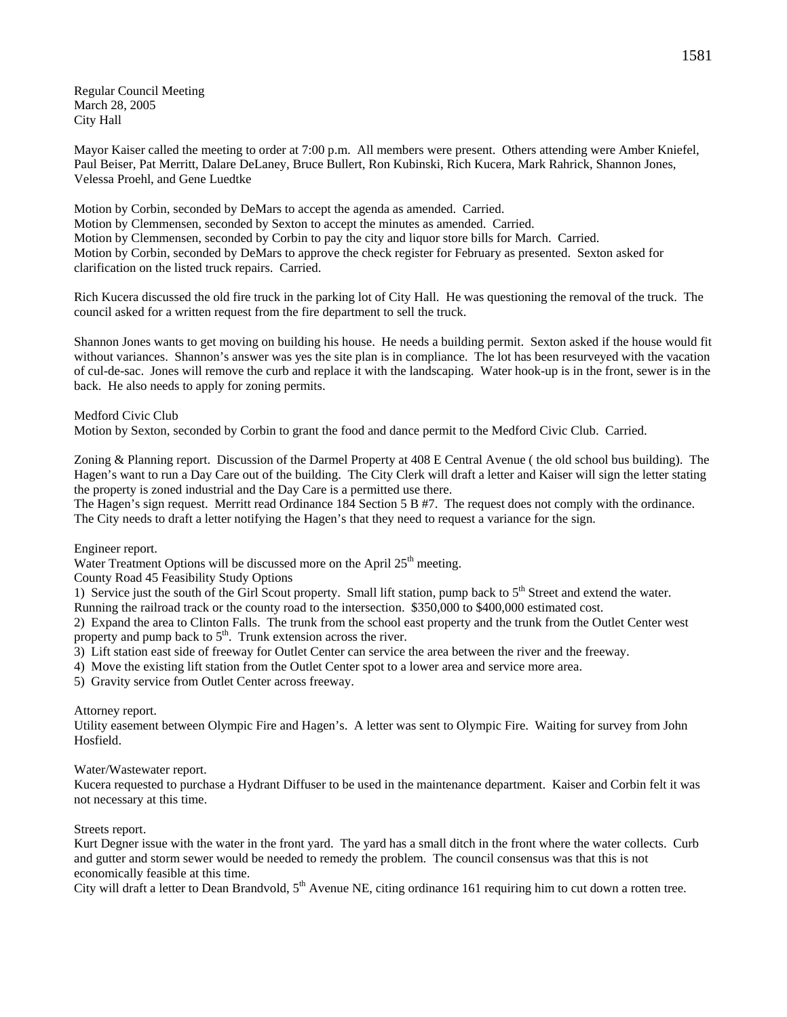Regular Council Meeting March 28, 2005 City Hall

Mayor Kaiser called the meeting to order at 7:00 p.m. All members were present. Others attending were Amber Kniefel, Paul Beiser, Pat Merritt, Dalare DeLaney, Bruce Bullert, Ron Kubinski, Rich Kucera, Mark Rahrick, Shannon Jones, Velessa Proehl, and Gene Luedtke

Motion by Corbin, seconded by DeMars to accept the agenda as amended. Carried. Motion by Clemmensen, seconded by Sexton to accept the minutes as amended. Carried. Motion by Clemmensen, seconded by Corbin to pay the city and liquor store bills for March. Carried. Motion by Corbin, seconded by DeMars to approve the check register for February as presented. Sexton asked for clarification on the listed truck repairs. Carried.

Rich Kucera discussed the old fire truck in the parking lot of City Hall. He was questioning the removal of the truck. The council asked for a written request from the fire department to sell the truck.

Shannon Jones wants to get moving on building his house. He needs a building permit. Sexton asked if the house would fit without variances. Shannon's answer was yes the site plan is in compliance. The lot has been resurveyed with the vacation of cul-de-sac. Jones will remove the curb and replace it with the landscaping. Water hook-up is in the front, sewer is in the back. He also needs to apply for zoning permits.

Medford Civic Club

Motion by Sexton, seconded by Corbin to grant the food and dance permit to the Medford Civic Club. Carried.

Zoning & Planning report. Discussion of the Darmel Property at 408 E Central Avenue ( the old school bus building). The Hagen's want to run a Day Care out of the building. The City Clerk will draft a letter and Kaiser will sign the letter stating the property is zoned industrial and the Day Care is a permitted use there.

The Hagen's sign request. Merritt read Ordinance 184 Section 5 B #7. The request does not comply with the ordinance. The City needs to draft a letter notifying the Hagen's that they need to request a variance for the sign.

Engineer report.

Water Treatment Options will be discussed more on the April  $25<sup>th</sup>$  meeting.

County Road 45 Feasibility Study Options

1) Service just the south of the Girl Scout property. Small lift station, pump back to  $5<sup>th</sup>$  Street and extend the water. Running the railroad track or the county road to the intersection. \$350,000 to \$400,000 estimated cost.

2) Expand the area to Clinton Falls. The trunk from the school east property and the trunk from the Outlet Center west property and pump back to  $5<sup>th</sup>$ . Trunk extension across the river.

3) Lift station east side of freeway for Outlet Center can service the area between the river and the freeway.

4) Move the existing lift station from the Outlet Center spot to a lower area and service more area.

5) Gravity service from Outlet Center across freeway.

Attorney report.

Utility easement between Olympic Fire and Hagen's. A letter was sent to Olympic Fire. Waiting for survey from John Hosfield.

Water/Wastewater report.

Kucera requested to purchase a Hydrant Diffuser to be used in the maintenance department. Kaiser and Corbin felt it was not necessary at this time.

# Streets report.

Kurt Degner issue with the water in the front yard. The yard has a small ditch in the front where the water collects. Curb and gutter and storm sewer would be needed to remedy the problem. The council consensus was that this is not economically feasible at this time.

City will draft a letter to Dean Brandvold,  $5<sup>th</sup>$  Avenue NE, citing ordinance 161 requiring him to cut down a rotten tree.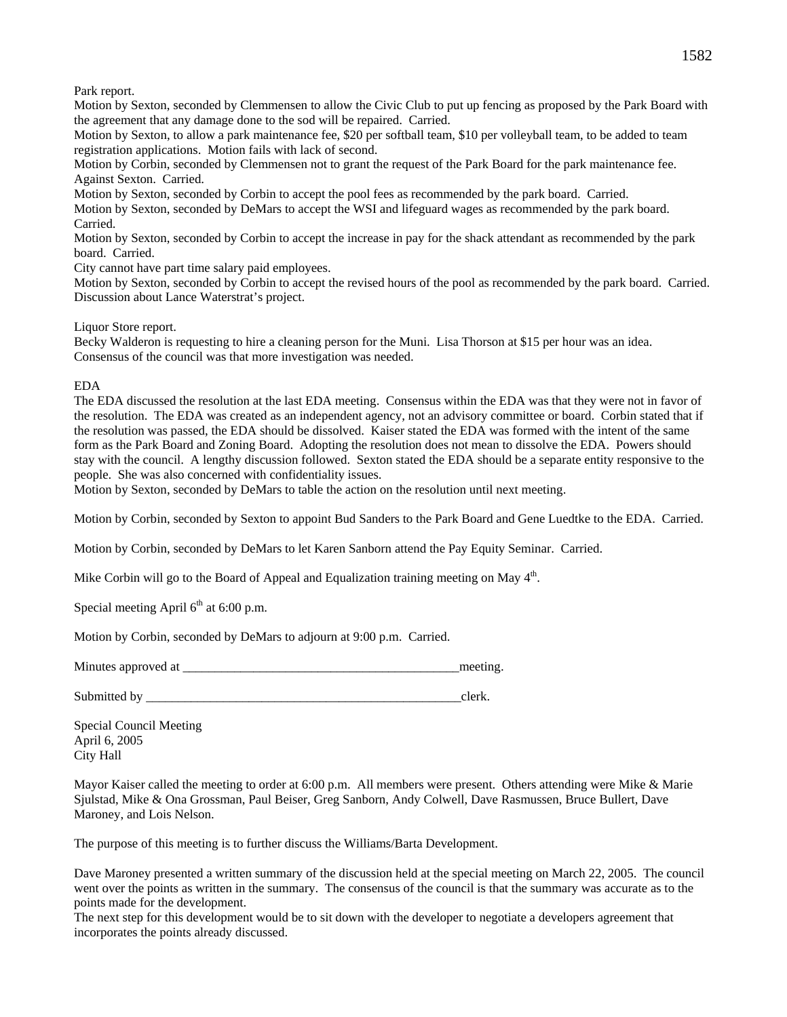Park report.

Motion by Sexton, seconded by Clemmensen to allow the Civic Club to put up fencing as proposed by the Park Board with the agreement that any damage done to the sod will be repaired. Carried.

Motion by Sexton, to allow a park maintenance fee, \$20 per softball team, \$10 per volleyball team, to be added to team registration applications. Motion fails with lack of second.

Motion by Corbin, seconded by Clemmensen not to grant the request of the Park Board for the park maintenance fee. Against Sexton. Carried.

Motion by Sexton, seconded by Corbin to accept the pool fees as recommended by the park board. Carried.

Motion by Sexton, seconded by DeMars to accept the WSI and lifeguard wages as recommended by the park board. Carried.

Motion by Sexton, seconded by Corbin to accept the increase in pay for the shack attendant as recommended by the park board. Carried.

City cannot have part time salary paid employees.

Motion by Sexton, seconded by Corbin to accept the revised hours of the pool as recommended by the park board. Carried. Discussion about Lance Waterstrat's project.

Liquor Store report.

Becky Walderon is requesting to hire a cleaning person for the Muni. Lisa Thorson at \$15 per hour was an idea. Consensus of the council was that more investigation was needed.

EDA

The EDA discussed the resolution at the last EDA meeting. Consensus within the EDA was that they were not in favor of the resolution. The EDA was created as an independent agency, not an advisory committee or board. Corbin stated that if the resolution was passed, the EDA should be dissolved. Kaiser stated the EDA was formed with the intent of the same form as the Park Board and Zoning Board. Adopting the resolution does not mean to dissolve the EDA. Powers should stay with the council. A lengthy discussion followed. Sexton stated the EDA should be a separate entity responsive to the people. She was also concerned with confidentiality issues.

Motion by Sexton, seconded by DeMars to table the action on the resolution until next meeting.

Motion by Corbin, seconded by Sexton to appoint Bud Sanders to the Park Board and Gene Luedtke to the EDA. Carried.

Motion by Corbin, seconded by DeMars to let Karen Sanborn attend the Pay Equity Seminar. Carried.

Mike Corbin will go to the Board of Appeal and Equalization training meeting on May  $4<sup>th</sup>$ .

Special meeting April  $6<sup>th</sup>$  at 6:00 p.m.

Motion by Corbin, seconded by DeMars to adjourn at 9:00 p.m. Carried.

Minutes approved at <u>the contract of the contract of the contract of the contract of the contract of the contract of the contract of the contract of the contract of the contract of the contract of the contract of the contr</u>

Submitted by \_\_\_\_\_\_\_\_\_\_\_\_\_\_\_\_\_\_\_\_\_\_\_\_\_\_\_\_\_\_\_\_\_\_\_\_\_\_\_\_\_\_\_\_\_\_\_\_\_clerk.

Special Council Meeting April 6, 2005 City Hall

Mayor Kaiser called the meeting to order at 6:00 p.m. All members were present. Others attending were Mike & Marie Sjulstad, Mike & Ona Grossman, Paul Beiser, Greg Sanborn, Andy Colwell, Dave Rasmussen, Bruce Bullert, Dave Maroney, and Lois Nelson.

The purpose of this meeting is to further discuss the Williams/Barta Development.

Dave Maroney presented a written summary of the discussion held at the special meeting on March 22, 2005. The council went over the points as written in the summary. The consensus of the council is that the summary was accurate as to the points made for the development.

The next step for this development would be to sit down with the developer to negotiate a developers agreement that incorporates the points already discussed.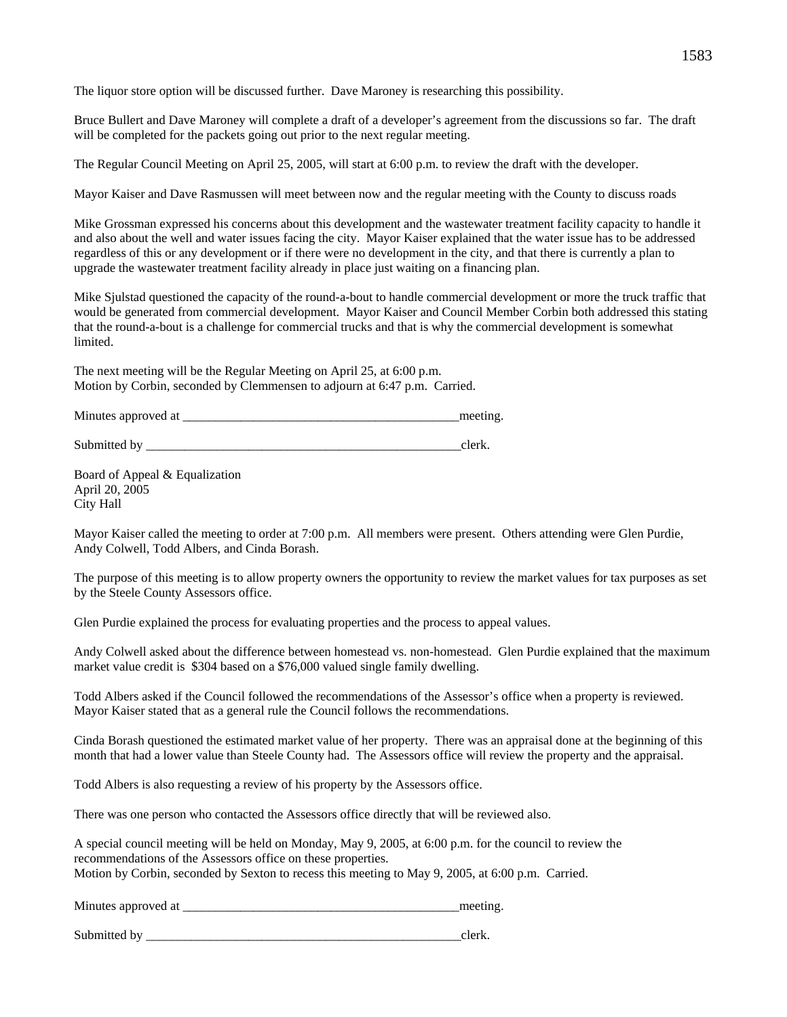The liquor store option will be discussed further. Dave Maroney is researching this possibility.

Bruce Bullert and Dave Maroney will complete a draft of a developer's agreement from the discussions so far. The draft will be completed for the packets going out prior to the next regular meeting.

The Regular Council Meeting on April 25, 2005, will start at 6:00 p.m. to review the draft with the developer.

Mayor Kaiser and Dave Rasmussen will meet between now and the regular meeting with the County to discuss roads

Mike Grossman expressed his concerns about this development and the wastewater treatment facility capacity to handle it and also about the well and water issues facing the city. Mayor Kaiser explained that the water issue has to be addressed regardless of this or any development or if there were no development in the city, and that there is currently a plan to upgrade the wastewater treatment facility already in place just waiting on a financing plan.

Mike Sjulstad questioned the capacity of the round-a-bout to handle commercial development or more the truck traffic that would be generated from commercial development. Mayor Kaiser and Council Member Corbin both addressed this stating that the round-a-bout is a challenge for commercial trucks and that is why the commercial development is somewhat limited.

The next meeting will be the Regular Meeting on April 25, at 6:00 p.m. Motion by Corbin, seconded by Clemmensen to adjourn at 6:47 p.m. Carried.

| Minutes approved at | meeting |
|---------------------|---------|
|                     |         |

Submitted by \_\_\_\_\_\_\_\_\_\_\_\_\_\_\_\_\_\_\_\_\_\_\_\_\_\_\_\_\_\_\_\_\_\_\_\_\_\_\_\_\_\_\_\_\_\_\_\_\_clerk.

Board of Appeal & Equalization April 20, 2005 City Hall

Mayor Kaiser called the meeting to order at 7:00 p.m. All members were present. Others attending were Glen Purdie, Andy Colwell, Todd Albers, and Cinda Borash.

The purpose of this meeting is to allow property owners the opportunity to review the market values for tax purposes as set by the Steele County Assessors office.

Glen Purdie explained the process for evaluating properties and the process to appeal values.

Andy Colwell asked about the difference between homestead vs. non-homestead. Glen Purdie explained that the maximum market value credit is \$304 based on a \$76,000 valued single family dwelling.

Todd Albers asked if the Council followed the recommendations of the Assessor's office when a property is reviewed. Mayor Kaiser stated that as a general rule the Council follows the recommendations.

Cinda Borash questioned the estimated market value of her property. There was an appraisal done at the beginning of this month that had a lower value than Steele County had. The Assessors office will review the property and the appraisal.

Todd Albers is also requesting a review of his property by the Assessors office.

There was one person who contacted the Assessors office directly that will be reviewed also.

A special council meeting will be held on Monday, May 9, 2005, at 6:00 p.m. for the council to review the recommendations of the Assessors office on these properties. Motion by Corbin, seconded by Sexton to recess this meeting to May 9, 2005, at 6:00 p.m. Carried.

Minutes approved at  $\Box$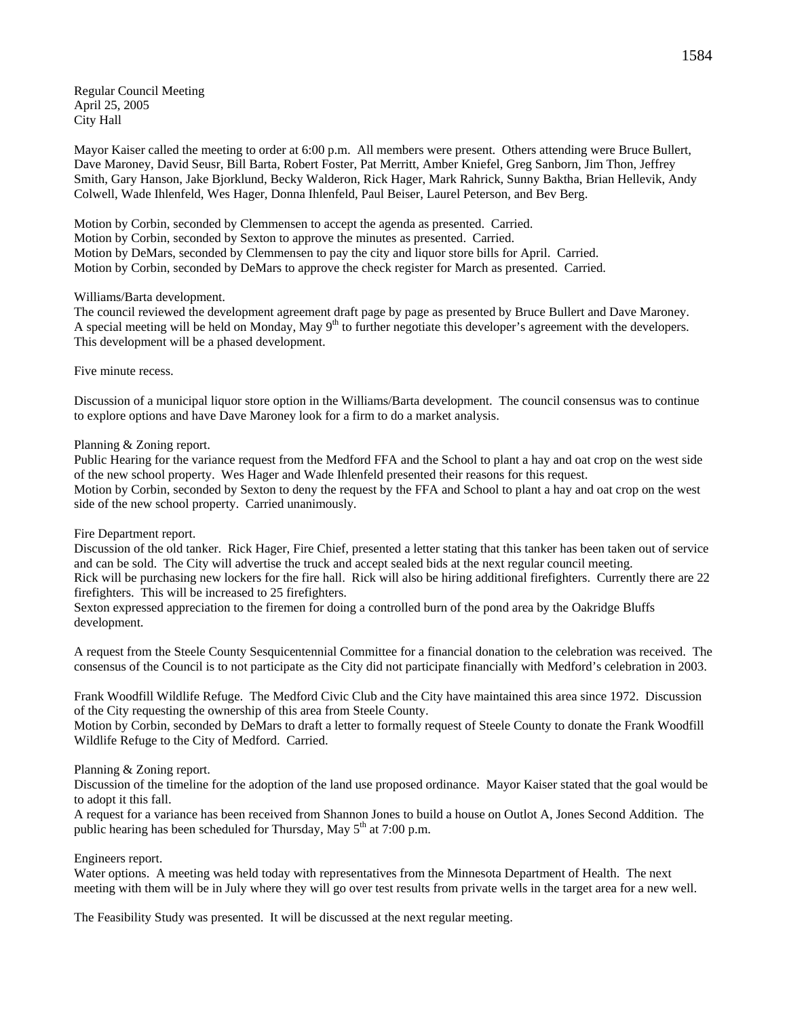Regular Council Meeting April 25, 2005 City Hall

Mayor Kaiser called the meeting to order at 6:00 p.m. All members were present. Others attending were Bruce Bullert, Dave Maroney, David Seusr, Bill Barta, Robert Foster, Pat Merritt, Amber Kniefel, Greg Sanborn, Jim Thon, Jeffrey Smith, Gary Hanson, Jake Bjorklund, Becky Walderon, Rick Hager, Mark Rahrick, Sunny Baktha, Brian Hellevik, Andy Colwell, Wade Ihlenfeld, Wes Hager, Donna Ihlenfeld, Paul Beiser, Laurel Peterson, and Bev Berg.

Motion by Corbin, seconded by Clemmensen to accept the agenda as presented. Carried. Motion by Corbin, seconded by Sexton to approve the minutes as presented. Carried. Motion by DeMars, seconded by Clemmensen to pay the city and liquor store bills for April. Carried. Motion by Corbin, seconded by DeMars to approve the check register for March as presented. Carried.

### Williams/Barta development.

The council reviewed the development agreement draft page by page as presented by Bruce Bullert and Dave Maroney. A special meeting will be held on Monday, May  $9<sup>th</sup>$  to further negotiate this developer's agreement with the developers. This development will be a phased development.

Five minute recess.

Discussion of a municipal liquor store option in the Williams/Barta development. The council consensus was to continue to explore options and have Dave Maroney look for a firm to do a market analysis.

## Planning & Zoning report.

Public Hearing for the variance request from the Medford FFA and the School to plant a hay and oat crop on the west side of the new school property. Wes Hager and Wade Ihlenfeld presented their reasons for this request. Motion by Corbin, seconded by Sexton to deny the request by the FFA and School to plant a hay and oat crop on the west side of the new school property. Carried unanimously.

### Fire Department report.

Discussion of the old tanker. Rick Hager, Fire Chief, presented a letter stating that this tanker has been taken out of service and can be sold. The City will advertise the truck and accept sealed bids at the next regular council meeting.

Rick will be purchasing new lockers for the fire hall. Rick will also be hiring additional firefighters. Currently there are 22 firefighters. This will be increased to 25 firefighters.

Sexton expressed appreciation to the firemen for doing a controlled burn of the pond area by the Oakridge Bluffs development.

A request from the Steele County Sesquicentennial Committee for a financial donation to the celebration was received. The consensus of the Council is to not participate as the City did not participate financially with Medford's celebration in 2003.

Frank Woodfill Wildlife Refuge. The Medford Civic Club and the City have maintained this area since 1972. Discussion of the City requesting the ownership of this area from Steele County.

Motion by Corbin, seconded by DeMars to draft a letter to formally request of Steele County to donate the Frank Woodfill Wildlife Refuge to the City of Medford. Carried.

# Planning & Zoning report.

Discussion of the timeline for the adoption of the land use proposed ordinance. Mayor Kaiser stated that the goal would be to adopt it this fall.

A request for a variance has been received from Shannon Jones to build a house on Outlot A, Jones Second Addition. The public hearing has been scheduled for Thursday, May  $5<sup>th</sup>$  at 7:00 p.m.

### Engineers report.

Water options. A meeting was held today with representatives from the Minnesota Department of Health. The next meeting with them will be in July where they will go over test results from private wells in the target area for a new well.

The Feasibility Study was presented. It will be discussed at the next regular meeting.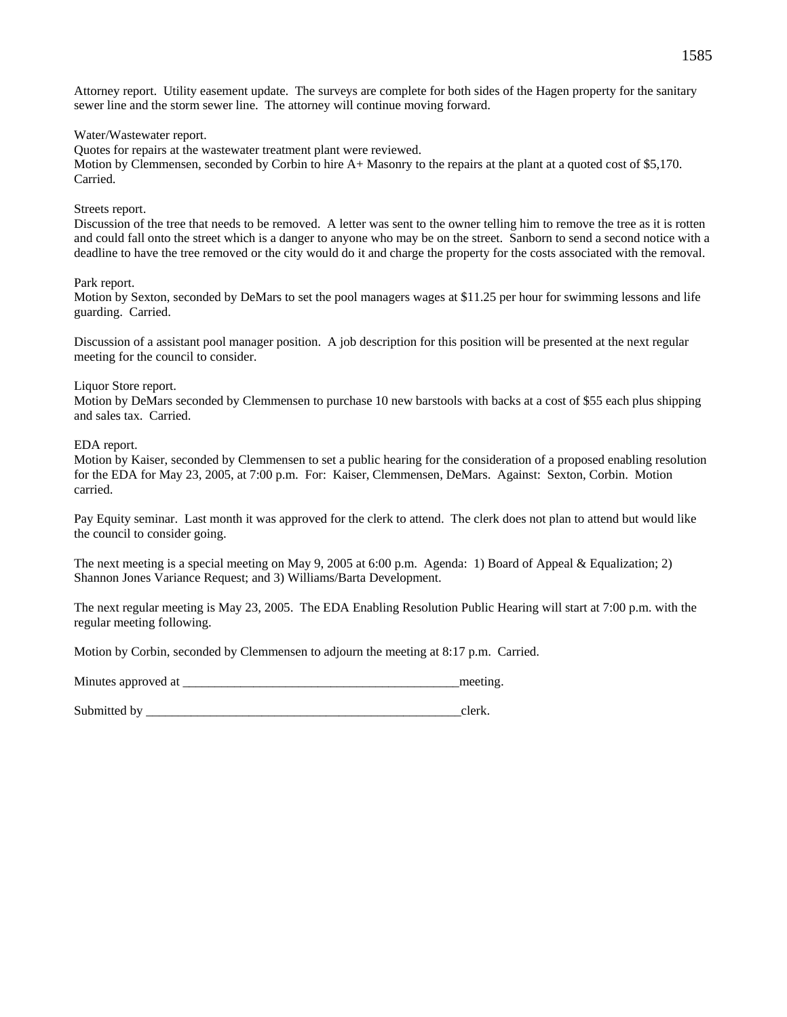Attorney report. Utility easement update. The surveys are complete for both sides of the Hagen property for the sanitary sewer line and the storm sewer line. The attorney will continue moving forward.

Water/Wastewater report.

Quotes for repairs at the wastewater treatment plant were reviewed. Motion by Clemmensen, seconded by Corbin to hire A+ Masonry to the repairs at the plant at a quoted cost of \$5,170. Carried.

### Streets report.

Discussion of the tree that needs to be removed. A letter was sent to the owner telling him to remove the tree as it is rotten and could fall onto the street which is a danger to anyone who may be on the street. Sanborn to send a second notice with a deadline to have the tree removed or the city would do it and charge the property for the costs associated with the removal.

### Park report.

Motion by Sexton, seconded by DeMars to set the pool managers wages at \$11.25 per hour for swimming lessons and life guarding. Carried.

Discussion of a assistant pool manager position. A job description for this position will be presented at the next regular meeting for the council to consider.

## Liquor Store report.

Motion by DeMars seconded by Clemmensen to purchase 10 new barstools with backs at a cost of \$55 each plus shipping and sales tax. Carried.

## EDA report.

Motion by Kaiser, seconded by Clemmensen to set a public hearing for the consideration of a proposed enabling resolution for the EDA for May 23, 2005, at 7:00 p.m. For: Kaiser, Clemmensen, DeMars. Against: Sexton, Corbin. Motion carried.

Pay Equity seminar. Last month it was approved for the clerk to attend. The clerk does not plan to attend but would like the council to consider going.

The next meeting is a special meeting on May 9, 2005 at 6:00 p.m. Agenda: 1) Board of Appeal & Equalization; 2) Shannon Jones Variance Request; and 3) Williams/Barta Development.

The next regular meeting is May 23, 2005. The EDA Enabling Resolution Public Hearing will start at 7:00 p.m. with the regular meeting following.

Motion by Corbin, seconded by Clemmensen to adjourn the meeting at 8:17 p.m. Carried.

Minutes approved at \_\_\_\_\_\_\_\_\_\_\_\_\_\_\_\_\_\_\_\_\_\_\_\_\_\_\_\_\_\_\_\_\_\_\_\_\_\_\_\_\_\_\_meeting.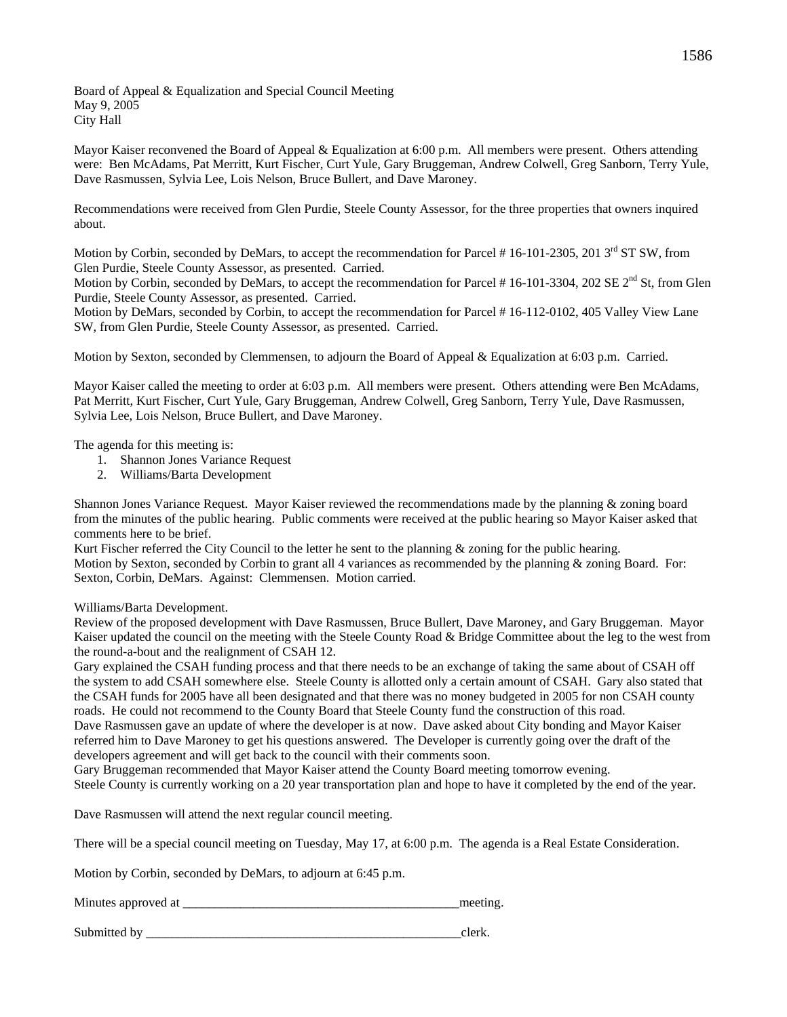Board of Appeal & Equalization and Special Council Meeting May 9, 2005 City Hall

Mayor Kaiser reconvened the Board of Appeal & Equalization at 6:00 p.m. All members were present. Others attending were: Ben McAdams, Pat Merritt, Kurt Fischer, Curt Yule, Gary Bruggeman, Andrew Colwell, Greg Sanborn, Terry Yule, Dave Rasmussen, Sylvia Lee, Lois Nelson, Bruce Bullert, and Dave Maroney.

Recommendations were received from Glen Purdie, Steele County Assessor, for the three properties that owners inquired about.

Motion by Corbin, seconded by DeMars, to accept the recommendation for Parcel #16-101-2305, 2013<sup>rd</sup> ST SW, from Glen Purdie, Steele County Assessor, as presented. Carried.

Motion by Corbin, seconded by DeMars, to accept the recommendation for Parcel # 16-101-3304, 202 SE 2<sup>nd</sup> St, from Glen Purdie, Steele County Assessor, as presented. Carried.

Motion by DeMars, seconded by Corbin, to accept the recommendation for Parcel # 16-112-0102, 405 Valley View Lane SW, from Glen Purdie, Steele County Assessor, as presented. Carried.

Motion by Sexton, seconded by Clemmensen, to adjourn the Board of Appeal & Equalization at 6:03 p.m. Carried.

Mayor Kaiser called the meeting to order at 6:03 p.m. All members were present. Others attending were Ben McAdams, Pat Merritt, Kurt Fischer, Curt Yule, Gary Bruggeman, Andrew Colwell, Greg Sanborn, Terry Yule, Dave Rasmussen, Sylvia Lee, Lois Nelson, Bruce Bullert, and Dave Maroney.

The agenda for this meeting is:

- 1. Shannon Jones Variance Request
- 2. Williams/Barta Development

Shannon Jones Variance Request. Mayor Kaiser reviewed the recommendations made by the planning & zoning board from the minutes of the public hearing. Public comments were received at the public hearing so Mayor Kaiser asked that comments here to be brief.

Kurt Fischer referred the City Council to the letter he sent to the planning & zoning for the public hearing. Motion by Sexton, seconded by Corbin to grant all 4 variances as recommended by the planning & zoning Board. For: Sexton, Corbin, DeMars. Against: Clemmensen. Motion carried.

Williams/Barta Development.

Review of the proposed development with Dave Rasmussen, Bruce Bullert, Dave Maroney, and Gary Bruggeman. Mayor Kaiser updated the council on the meeting with the Steele County Road & Bridge Committee about the leg to the west from the round-a-bout and the realignment of CSAH 12.

Gary explained the CSAH funding process and that there needs to be an exchange of taking the same about of CSAH off the system to add CSAH somewhere else. Steele County is allotted only a certain amount of CSAH. Gary also stated that the CSAH funds for 2005 have all been designated and that there was no money budgeted in 2005 for non CSAH county roads. He could not recommend to the County Board that Steele County fund the construction of this road. Dave Rasmussen gave an update of where the developer is at now. Dave asked about City bonding and Mayor Kaiser referred him to Dave Maroney to get his questions answered. The Developer is currently going over the draft of the

developers agreement and will get back to the council with their comments soon.

Gary Bruggeman recommended that Mayor Kaiser attend the County Board meeting tomorrow evening.

Steele County is currently working on a 20 year transportation plan and hope to have it completed by the end of the year.

Dave Rasmussen will attend the next regular council meeting.

There will be a special council meeting on Tuesday, May 17, at 6:00 p.m. The agenda is a Real Estate Consideration.

Motion by Corbin, seconded by DeMars, to adjourn at 6:45 p.m.

| Minutes approved at | meeting |
|---------------------|---------|
|                     |         |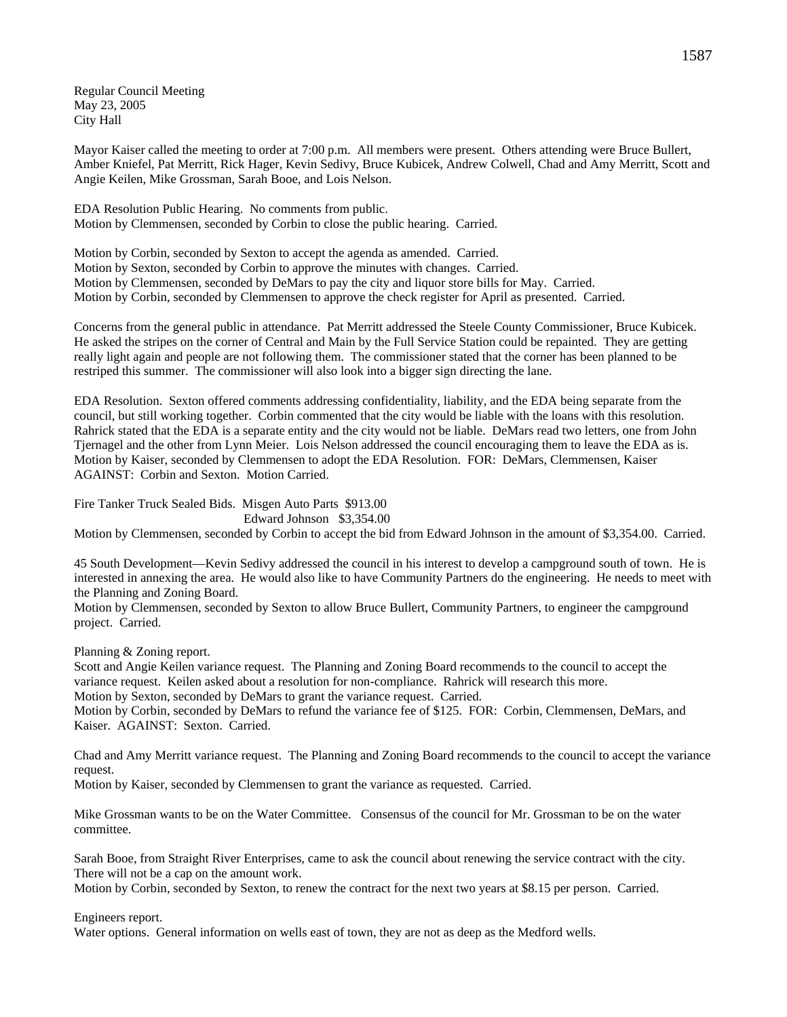Regular Council Meeting May 23, 2005 City Hall

Mayor Kaiser called the meeting to order at 7:00 p.m. All members were present. Others attending were Bruce Bullert, Amber Kniefel, Pat Merritt, Rick Hager, Kevin Sedivy, Bruce Kubicek, Andrew Colwell, Chad and Amy Merritt, Scott and Angie Keilen, Mike Grossman, Sarah Booe, and Lois Nelson.

EDA Resolution Public Hearing. No comments from public. Motion by Clemmensen, seconded by Corbin to close the public hearing. Carried.

Motion by Corbin, seconded by Sexton to accept the agenda as amended. Carried. Motion by Sexton, seconded by Corbin to approve the minutes with changes. Carried. Motion by Clemmensen, seconded by DeMars to pay the city and liquor store bills for May. Carried. Motion by Corbin, seconded by Clemmensen to approve the check register for April as presented. Carried.

Concerns from the general public in attendance. Pat Merritt addressed the Steele County Commissioner, Bruce Kubicek. He asked the stripes on the corner of Central and Main by the Full Service Station could be repainted. They are getting really light again and people are not following them. The commissioner stated that the corner has been planned to be restriped this summer. The commissioner will also look into a bigger sign directing the lane.

EDA Resolution. Sexton offered comments addressing confidentiality, liability, and the EDA being separate from the council, but still working together. Corbin commented that the city would be liable with the loans with this resolution. Rahrick stated that the EDA is a separate entity and the city would not be liable. DeMars read two letters, one from John Tjernagel and the other from Lynn Meier. Lois Nelson addressed the council encouraging them to leave the EDA as is. Motion by Kaiser, seconded by Clemmensen to adopt the EDA Resolution. FOR: DeMars, Clemmensen, Kaiser AGAINST: Corbin and Sexton. Motion Carried.

Fire Tanker Truck Sealed Bids. Misgen Auto Parts \$913.00 Edward Johnson \$3,354.00

Motion by Clemmensen, seconded by Corbin to accept the bid from Edward Johnson in the amount of \$3,354.00. Carried.

45 South Development—Kevin Sedivy addressed the council in his interest to develop a campground south of town. He is interested in annexing the area. He would also like to have Community Partners do the engineering. He needs to meet with the Planning and Zoning Board.

Motion by Clemmensen, seconded by Sexton to allow Bruce Bullert, Community Partners, to engineer the campground project. Carried.

Planning & Zoning report.

Scott and Angie Keilen variance request. The Planning and Zoning Board recommends to the council to accept the variance request. Keilen asked about a resolution for non-compliance. Rahrick will research this more. Motion by Sexton, seconded by DeMars to grant the variance request. Carried.

Motion by Corbin, seconded by DeMars to refund the variance fee of \$125. FOR: Corbin, Clemmensen, DeMars, and Kaiser. AGAINST: Sexton. Carried.

Chad and Amy Merritt variance request. The Planning and Zoning Board recommends to the council to accept the variance request.

Motion by Kaiser, seconded by Clemmensen to grant the variance as requested. Carried.

Mike Grossman wants to be on the Water Committee. Consensus of the council for Mr. Grossman to be on the water committee.

Sarah Booe, from Straight River Enterprises, came to ask the council about renewing the service contract with the city. There will not be a cap on the amount work.

Motion by Corbin, seconded by Sexton, to renew the contract for the next two years at \$8.15 per person. Carried.

Engineers report.

Water options. General information on wells east of town, they are not as deep as the Medford wells.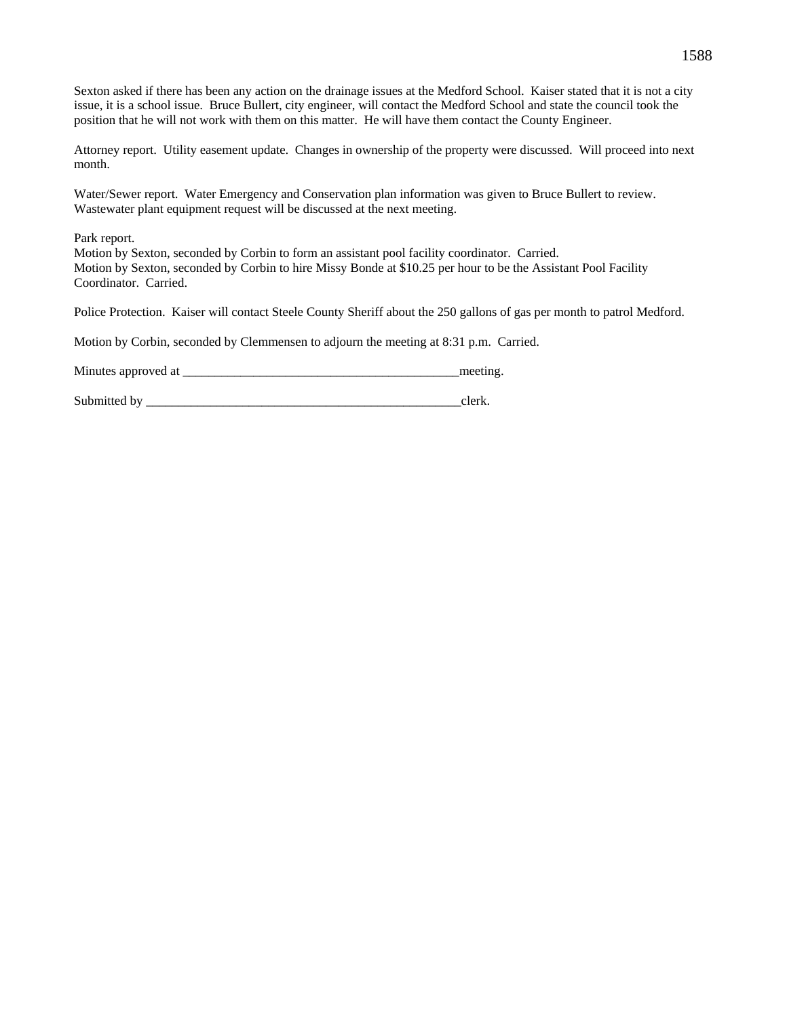Sexton asked if there has been any action on the drainage issues at the Medford School. Kaiser stated that it is not a city issue, it is a school issue. Bruce Bullert, city engineer, will contact the Medford School and state the council took the position that he will not work with them on this matter. He will have them contact the County Engineer.

Attorney report. Utility easement update. Changes in ownership of the property were discussed. Will proceed into next month.

Water/Sewer report. Water Emergency and Conservation plan information was given to Bruce Bullert to review. Wastewater plant equipment request will be discussed at the next meeting.

Park report. Motion by Sexton, seconded by Corbin to form an assistant pool facility coordinator. Carried. Motion by Sexton, seconded by Corbin to hire Missy Bonde at \$10.25 per hour to be the Assistant Pool Facility Coordinator. Carried.

Police Protection. Kaiser will contact Steele County Sheriff about the 250 gallons of gas per month to patrol Medford.

Motion by Corbin, seconded by Clemmensen to adjourn the meeting at 8:31 p.m. Carried.

Minutes approved at \_\_\_\_\_\_\_\_\_\_\_\_\_\_\_\_\_\_\_\_\_\_\_\_\_\_\_\_\_\_\_\_\_\_\_\_\_\_\_\_\_\_\_meeting.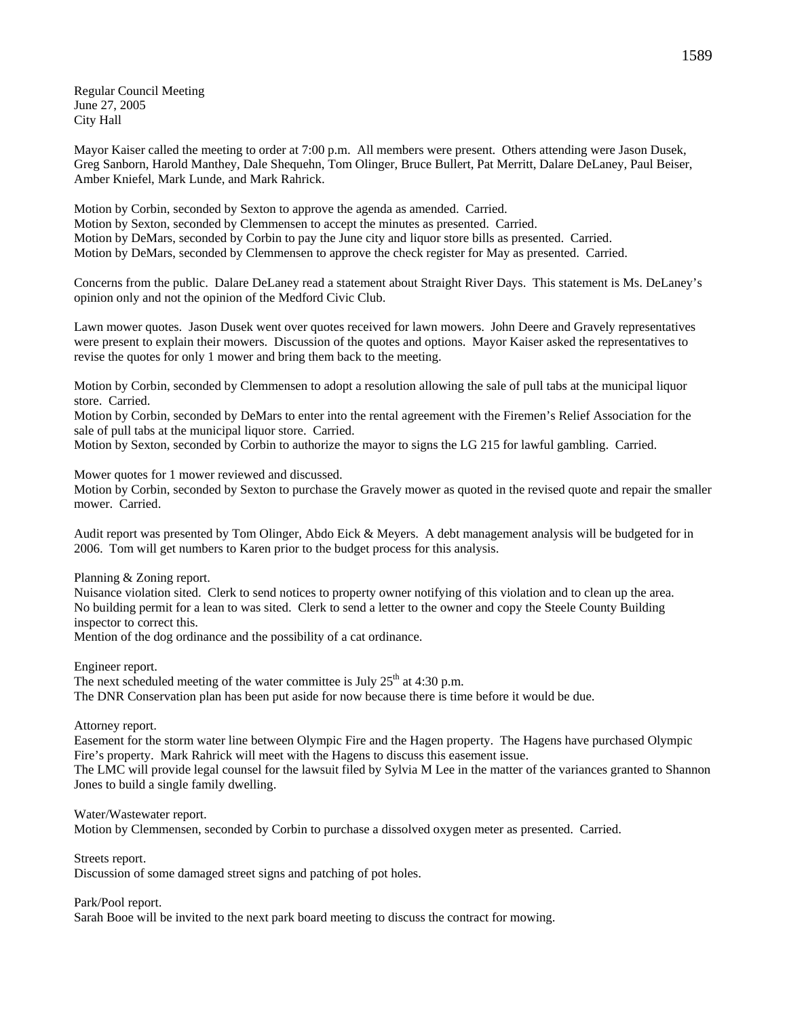Regular Council Meeting June 27, 2005 City Hall

Mayor Kaiser called the meeting to order at 7:00 p.m. All members were present. Others attending were Jason Dusek, Greg Sanborn, Harold Manthey, Dale Shequehn, Tom Olinger, Bruce Bullert, Pat Merritt, Dalare DeLaney, Paul Beiser, Amber Kniefel, Mark Lunde, and Mark Rahrick.

Motion by Corbin, seconded by Sexton to approve the agenda as amended. Carried. Motion by Sexton, seconded by Clemmensen to accept the minutes as presented. Carried. Motion by DeMars, seconded by Corbin to pay the June city and liquor store bills as presented. Carried. Motion by DeMars, seconded by Clemmensen to approve the check register for May as presented. Carried.

Concerns from the public. Dalare DeLaney read a statement about Straight River Days. This statement is Ms. DeLaney's opinion only and not the opinion of the Medford Civic Club.

Lawn mower quotes. Jason Dusek went over quotes received for lawn mowers. John Deere and Gravely representatives were present to explain their mowers. Discussion of the quotes and options. Mayor Kaiser asked the representatives to revise the quotes for only 1 mower and bring them back to the meeting.

Motion by Corbin, seconded by Clemmensen to adopt a resolution allowing the sale of pull tabs at the municipal liquor store. Carried.

Motion by Corbin, seconded by DeMars to enter into the rental agreement with the Firemen's Relief Association for the sale of pull tabs at the municipal liquor store. Carried.

Motion by Sexton, seconded by Corbin to authorize the mayor to signs the LG 215 for lawful gambling. Carried.

Mower quotes for 1 mower reviewed and discussed.

Motion by Corbin, seconded by Sexton to purchase the Gravely mower as quoted in the revised quote and repair the smaller mower. Carried.

Audit report was presented by Tom Olinger, Abdo Eick & Meyers. A debt management analysis will be budgeted for in 2006. Tom will get numbers to Karen prior to the budget process for this analysis.

Planning & Zoning report.

Nuisance violation sited. Clerk to send notices to property owner notifying of this violation and to clean up the area. No building permit for a lean to was sited. Clerk to send a letter to the owner and copy the Steele County Building inspector to correct this.

Mention of the dog ordinance and the possibility of a cat ordinance.

Engineer report.

The next scheduled meeting of the water committee is July  $25<sup>th</sup>$  at 4:30 p.m. The DNR Conservation plan has been put aside for now because there is time before it would be due.

Attorney report.

Easement for the storm water line between Olympic Fire and the Hagen property. The Hagens have purchased Olympic Fire's property. Mark Rahrick will meet with the Hagens to discuss this easement issue.

The LMC will provide legal counsel for the lawsuit filed by Sylvia M Lee in the matter of the variances granted to Shannon Jones to build a single family dwelling.

Water/Wastewater report.

Motion by Clemmensen, seconded by Corbin to purchase a dissolved oxygen meter as presented. Carried.

Streets report.

Discussion of some damaged street signs and patching of pot holes.

Park/Pool report.

Sarah Booe will be invited to the next park board meeting to discuss the contract for mowing.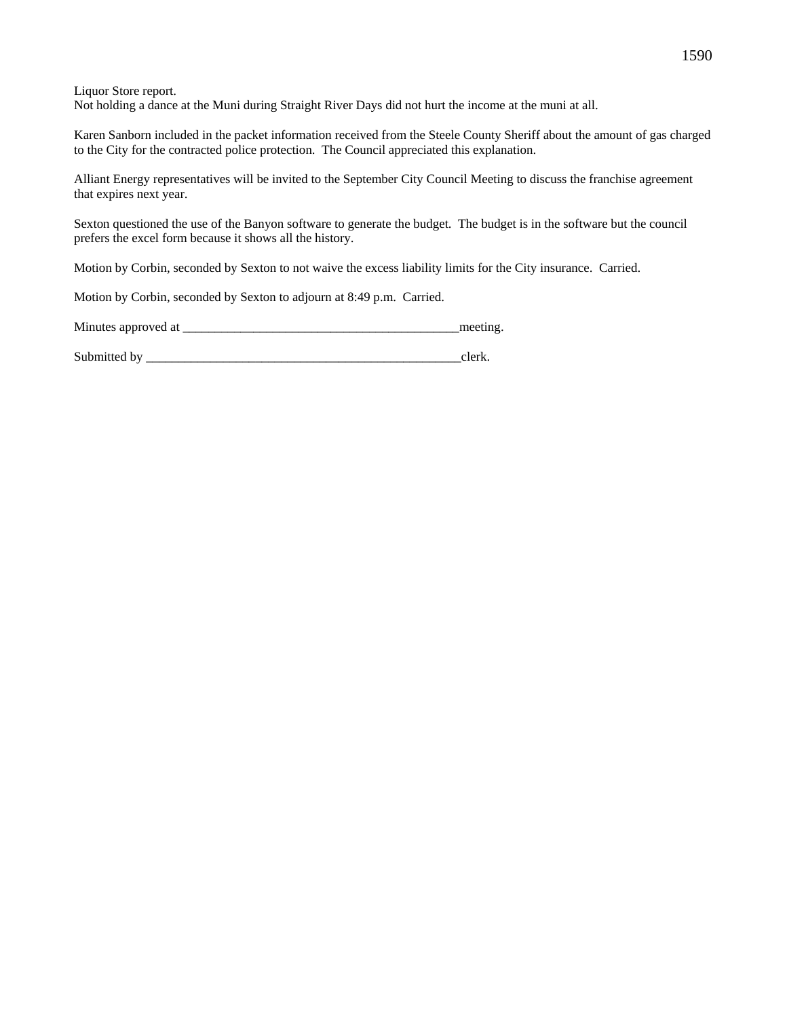Liquor Store report. Not holding a dance at the Muni during Straight River Days did not hurt the income at the muni at all.

Karen Sanborn included in the packet information received from the Steele County Sheriff about the amount of gas charged to the City for the contracted police protection. The Council appreciated this explanation.

Alliant Energy representatives will be invited to the September City Council Meeting to discuss the franchise agreement that expires next year.

Sexton questioned the use of the Banyon software to generate the budget. The budget is in the software but the council prefers the excel form because it shows all the history.

Motion by Corbin, seconded by Sexton to not waive the excess liability limits for the City insurance. Carried.

Motion by Corbin, seconded by Sexton to adjourn at 8:49 p.m. Carried.

| Minutes approved at |  |  |
|---------------------|--|--|
|---------------------|--|--|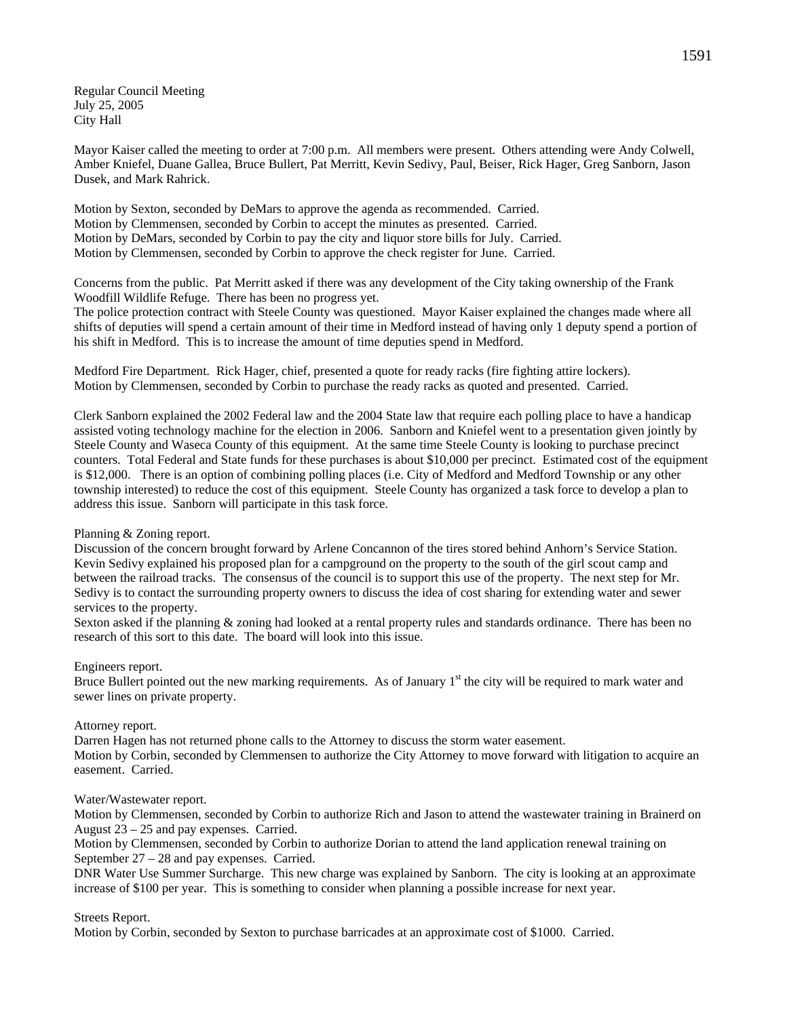Regular Council Meeting July 25, 2005 City Hall

Mayor Kaiser called the meeting to order at 7:00 p.m. All members were present. Others attending were Andy Colwell, Amber Kniefel, Duane Gallea, Bruce Bullert, Pat Merritt, Kevin Sedivy, Paul, Beiser, Rick Hager, Greg Sanborn, Jason Dusek, and Mark Rahrick.

Motion by Sexton, seconded by DeMars to approve the agenda as recommended. Carried. Motion by Clemmensen, seconded by Corbin to accept the minutes as presented. Carried. Motion by DeMars, seconded by Corbin to pay the city and liquor store bills for July. Carried. Motion by Clemmensen, seconded by Corbin to approve the check register for June. Carried.

Concerns from the public. Pat Merritt asked if there was any development of the City taking ownership of the Frank Woodfill Wildlife Refuge. There has been no progress yet.

The police protection contract with Steele County was questioned. Mayor Kaiser explained the changes made where all shifts of deputies will spend a certain amount of their time in Medford instead of having only 1 deputy spend a portion of his shift in Medford. This is to increase the amount of time deputies spend in Medford.

Medford Fire Department. Rick Hager, chief, presented a quote for ready racks (fire fighting attire lockers). Motion by Clemmensen, seconded by Corbin to purchase the ready racks as quoted and presented. Carried.

Clerk Sanborn explained the 2002 Federal law and the 2004 State law that require each polling place to have a handicap assisted voting technology machine for the election in 2006. Sanborn and Kniefel went to a presentation given jointly by Steele County and Waseca County of this equipment. At the same time Steele County is looking to purchase precinct counters. Total Federal and State funds for these purchases is about \$10,000 per precinct. Estimated cost of the equipment is \$12,000. There is an option of combining polling places (i.e. City of Medford and Medford Township or any other township interested) to reduce the cost of this equipment. Steele County has organized a task force to develop a plan to address this issue. Sanborn will participate in this task force.

### Planning & Zoning report.

Discussion of the concern brought forward by Arlene Concannon of the tires stored behind Anhorn's Service Station. Kevin Sedivy explained his proposed plan for a campground on the property to the south of the girl scout camp and between the railroad tracks. The consensus of the council is to support this use of the property. The next step for Mr. Sedivy is to contact the surrounding property owners to discuss the idea of cost sharing for extending water and sewer services to the property.

Sexton asked if the planning & zoning had looked at a rental property rules and standards ordinance. There has been no research of this sort to this date. The board will look into this issue.

### Engineers report.

Bruce Bullert pointed out the new marking requirements. As of January  $1<sup>st</sup>$  the city will be required to mark water and sewer lines on private property.

### Attorney report.

Darren Hagen has not returned phone calls to the Attorney to discuss the storm water easement. Motion by Corbin, seconded by Clemmensen to authorize the City Attorney to move forward with litigation to acquire an easement. Carried.

### Water/Wastewater report.

Motion by Clemmensen, seconded by Corbin to authorize Rich and Jason to attend the wastewater training in Brainerd on August 23 – 25 and pay expenses. Carried.

Motion by Clemmensen, seconded by Corbin to authorize Dorian to attend the land application renewal training on September 27 – 28 and pay expenses. Carried.

DNR Water Use Summer Surcharge. This new charge was explained by Sanborn. The city is looking at an approximate increase of \$100 per year. This is something to consider when planning a possible increase for next year.

# Streets Report.

Motion by Corbin, seconded by Sexton to purchase barricades at an approximate cost of \$1000. Carried.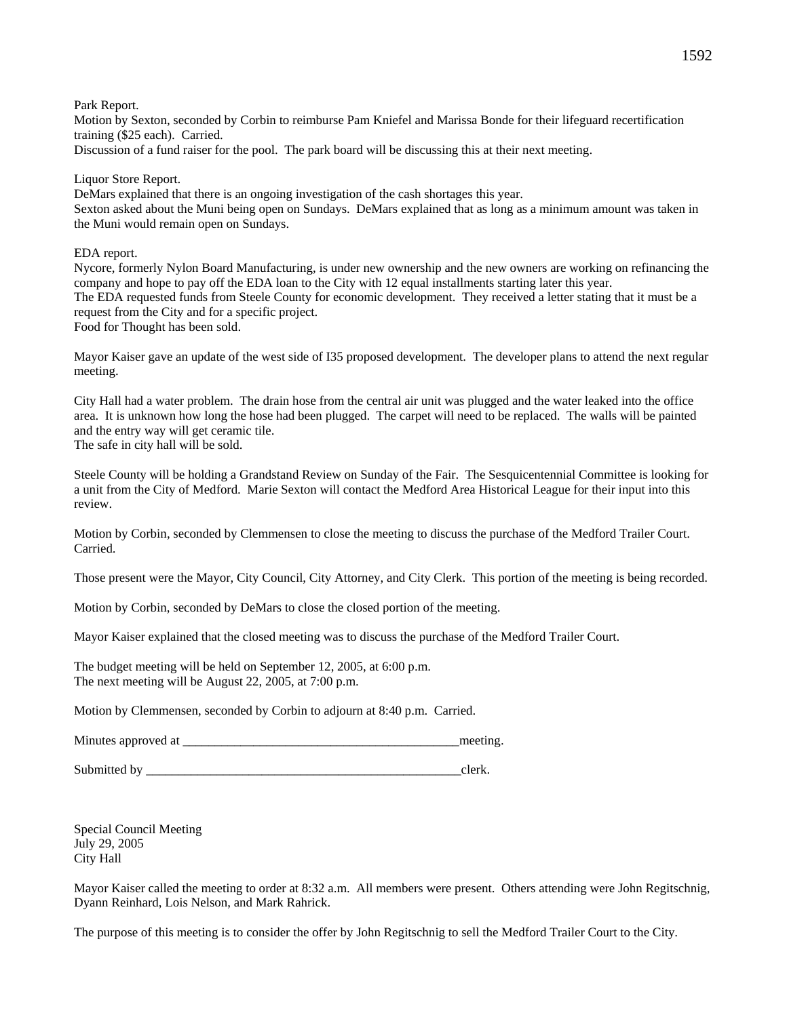Park Report.

Motion by Sexton, seconded by Corbin to reimburse Pam Kniefel and Marissa Bonde for their lifeguard recertification training (\$25 each). Carried.

Discussion of a fund raiser for the pool. The park board will be discussing this at their next meeting.

Liquor Store Report.

DeMars explained that there is an ongoing investigation of the cash shortages this year. Sexton asked about the Muni being open on Sundays. DeMars explained that as long as a minimum amount was taken in the Muni would remain open on Sundays.

EDA report.

Nycore, formerly Nylon Board Manufacturing, is under new ownership and the new owners are working on refinancing the company and hope to pay off the EDA loan to the City with 12 equal installments starting later this year. The EDA requested funds from Steele County for economic development. They received a letter stating that it must be a request from the City and for a specific project. Food for Thought has been sold.

Mayor Kaiser gave an update of the west side of I35 proposed development. The developer plans to attend the next regular meeting.

City Hall had a water problem. The drain hose from the central air unit was plugged and the water leaked into the office area. It is unknown how long the hose had been plugged. The carpet will need to be replaced. The walls will be painted and the entry way will get ceramic tile.

The safe in city hall will be sold.

Steele County will be holding a Grandstand Review on Sunday of the Fair. The Sesquicentennial Committee is looking for a unit from the City of Medford. Marie Sexton will contact the Medford Area Historical League for their input into this review.

Motion by Corbin, seconded by Clemmensen to close the meeting to discuss the purchase of the Medford Trailer Court. Carried.

Those present were the Mayor, City Council, City Attorney, and City Clerk. This portion of the meeting is being recorded.

Motion by Corbin, seconded by DeMars to close the closed portion of the meeting.

Mayor Kaiser explained that the closed meeting was to discuss the purchase of the Medford Trailer Court.

The budget meeting will be held on September 12, 2005, at 6:00 p.m. The next meeting will be August 22, 2005, at 7:00 p.m.

Motion by Clemmensen, seconded by Corbin to adjourn at 8:40 p.m. Carried.

Minutes approved at \_\_\_\_\_\_\_\_\_\_\_\_\_\_\_\_\_\_\_\_\_\_\_\_\_\_\_\_\_\_\_\_\_\_\_\_\_\_\_\_\_\_\_meeting.

Submitted by \_\_\_\_\_\_\_\_\_\_\_\_\_\_\_\_\_\_\_\_\_\_\_\_\_\_\_\_\_\_\_\_\_\_\_\_\_\_\_\_\_\_\_\_\_\_\_\_\_clerk.

Special Council Meeting July 29, 2005 City Hall

Mayor Kaiser called the meeting to order at 8:32 a.m. All members were present. Others attending were John Regitschnig, Dyann Reinhard, Lois Nelson, and Mark Rahrick.

The purpose of this meeting is to consider the offer by John Regitschnig to sell the Medford Trailer Court to the City.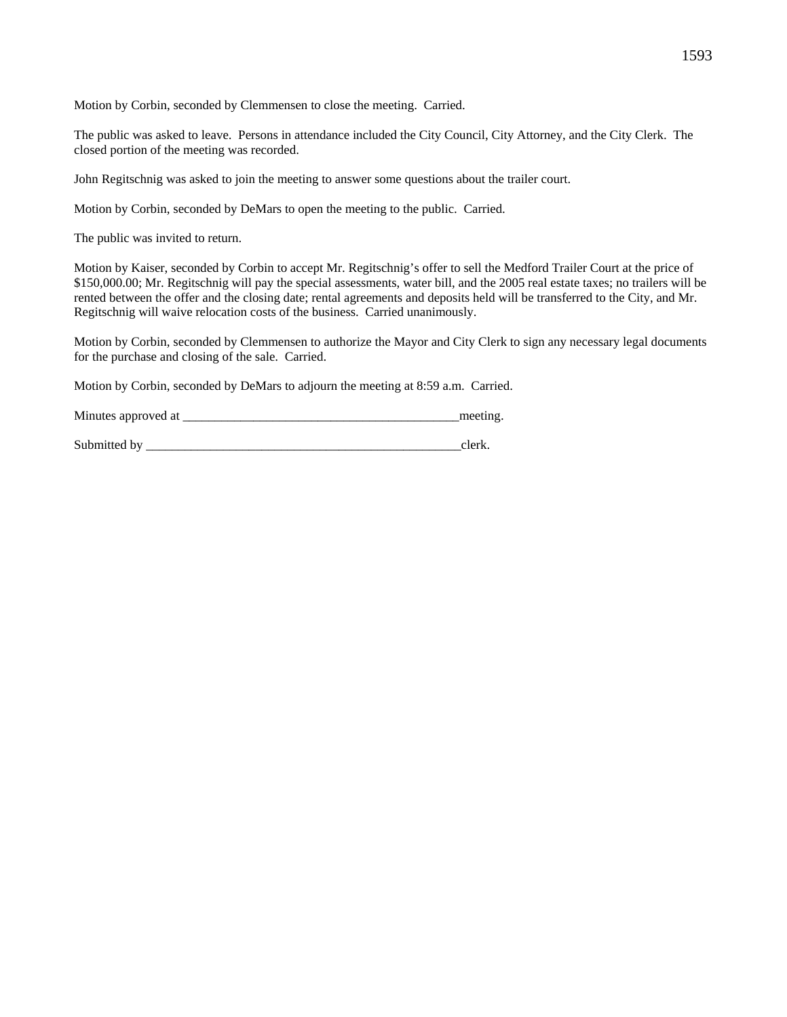Motion by Corbin, seconded by Clemmensen to close the meeting. Carried.

The public was asked to leave. Persons in attendance included the City Council, City Attorney, and the City Clerk. The closed portion of the meeting was recorded.

John Regitschnig was asked to join the meeting to answer some questions about the trailer court.

Motion by Corbin, seconded by DeMars to open the meeting to the public. Carried.

The public was invited to return.

Motion by Kaiser, seconded by Corbin to accept Mr. Regitschnig's offer to sell the Medford Trailer Court at the price of \$150,000.00; Mr. Regitschnig will pay the special assessments, water bill, and the 2005 real estate taxes; no trailers will be rented between the offer and the closing date; rental agreements and deposits held will be transferred to the City, and Mr. Regitschnig will waive relocation costs of the business. Carried unanimously.

Motion by Corbin, seconded by Clemmensen to authorize the Mayor and City Clerk to sign any necessary legal documents for the purchase and closing of the sale. Carried.

Motion by Corbin, seconded by DeMars to adjourn the meeting at 8:59 a.m. Carried.

| Minutes approved at |  |
|---------------------|--|
|                     |  |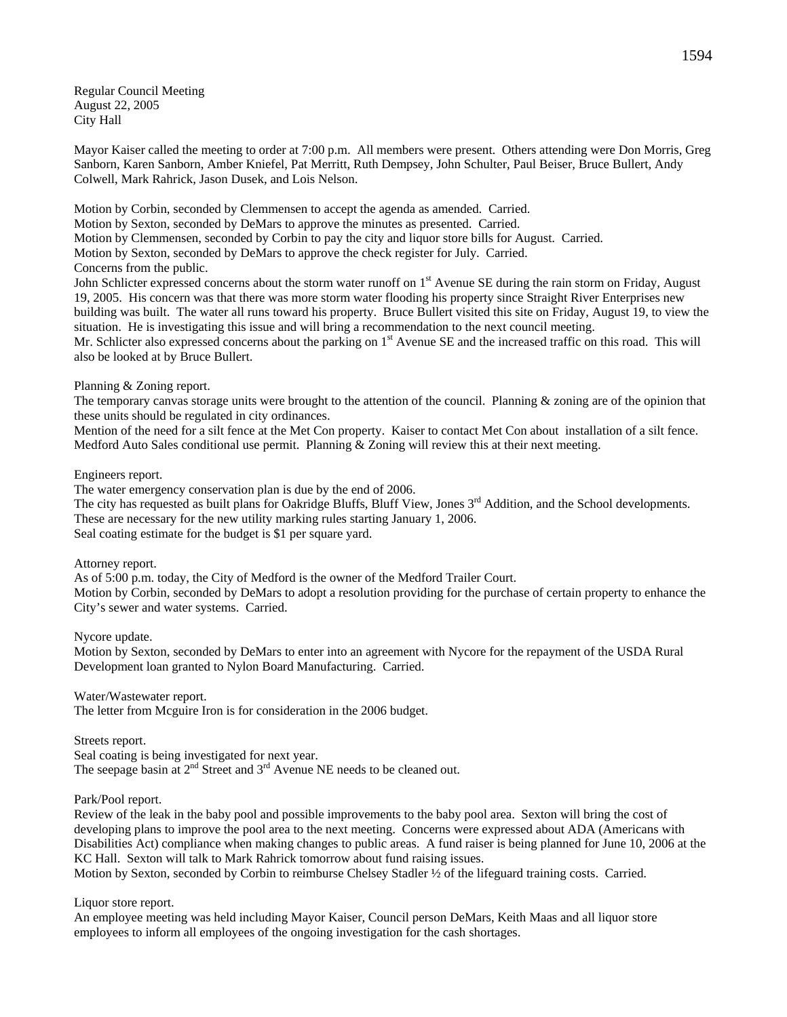Regular Council Meeting August 22, 2005 City Hall

Mayor Kaiser called the meeting to order at 7:00 p.m. All members were present. Others attending were Don Morris, Greg Sanborn, Karen Sanborn, Amber Kniefel, Pat Merritt, Ruth Dempsey, John Schulter, Paul Beiser, Bruce Bullert, Andy Colwell, Mark Rahrick, Jason Dusek, and Lois Nelson.

Motion by Corbin, seconded by Clemmensen to accept the agenda as amended. Carried.

Motion by Sexton, seconded by DeMars to approve the minutes as presented. Carried.

Motion by Clemmensen, seconded by Corbin to pay the city and liquor store bills for August. Carried.

Motion by Sexton, seconded by DeMars to approve the check register for July. Carried.

Concerns from the public.

John Schlicter expressed concerns about the storm water runoff on 1<sup>st</sup> Avenue SE during the rain storm on Friday, August 19, 2005. His concern was that there was more storm water flooding his property since Straight River Enterprises new building was built. The water all runs toward his property. Bruce Bullert visited this site on Friday, August 19, to view the situation. He is investigating this issue and will bring a recommendation to the next council meeting.

Mr. Schlicter also expressed concerns about the parking on  $1<sup>st</sup>$  Avenue SE and the increased traffic on this road. This will also be looked at by Bruce Bullert.

## Planning & Zoning report.

The temporary canvas storage units were brought to the attention of the council. Planning  $\&$  zoning are of the opinion that these units should be regulated in city ordinances.

Mention of the need for a silt fence at the Met Con property. Kaiser to contact Met Con about installation of a silt fence. Medford Auto Sales conditional use permit. Planning & Zoning will review this at their next meeting.

## Engineers report.

The water emergency conservation plan is due by the end of 2006.

The city has requested as built plans for Oakridge Bluffs, Bluff View, Jones  $3<sup>rd</sup>$  Addition, and the School developments. These are necessary for the new utility marking rules starting January 1, 2006. Seal coating estimate for the budget is \$1 per square yard.

Attorney report.

As of 5:00 p.m. today, the City of Medford is the owner of the Medford Trailer Court. Motion by Corbin, seconded by DeMars to adopt a resolution providing for the purchase of certain property to enhance the City's sewer and water systems. Carried.

Nycore update.

Motion by Sexton, seconded by DeMars to enter into an agreement with Nycore for the repayment of the USDA Rural Development loan granted to Nylon Board Manufacturing. Carried.

Water/Wastewater report.

The letter from Mcguire Iron is for consideration in the 2006 budget.

Streets report.

Seal coating is being investigated for next year. The seepage basin at  $2^{nd}$  Street and  $3^{rd}$  Avenue NE needs to be cleaned out.

Park/Pool report.

Review of the leak in the baby pool and possible improvements to the baby pool area. Sexton will bring the cost of developing plans to improve the pool area to the next meeting. Concerns were expressed about ADA (Americans with Disabilities Act) compliance when making changes to public areas. A fund raiser is being planned for June 10, 2006 at the KC Hall. Sexton will talk to Mark Rahrick tomorrow about fund raising issues.

Motion by Sexton, seconded by Corbin to reimburse Chelsey Stadler ½ of the lifeguard training costs. Carried.

# Liquor store report.

An employee meeting was held including Mayor Kaiser, Council person DeMars, Keith Maas and all liquor store employees to inform all employees of the ongoing investigation for the cash shortages.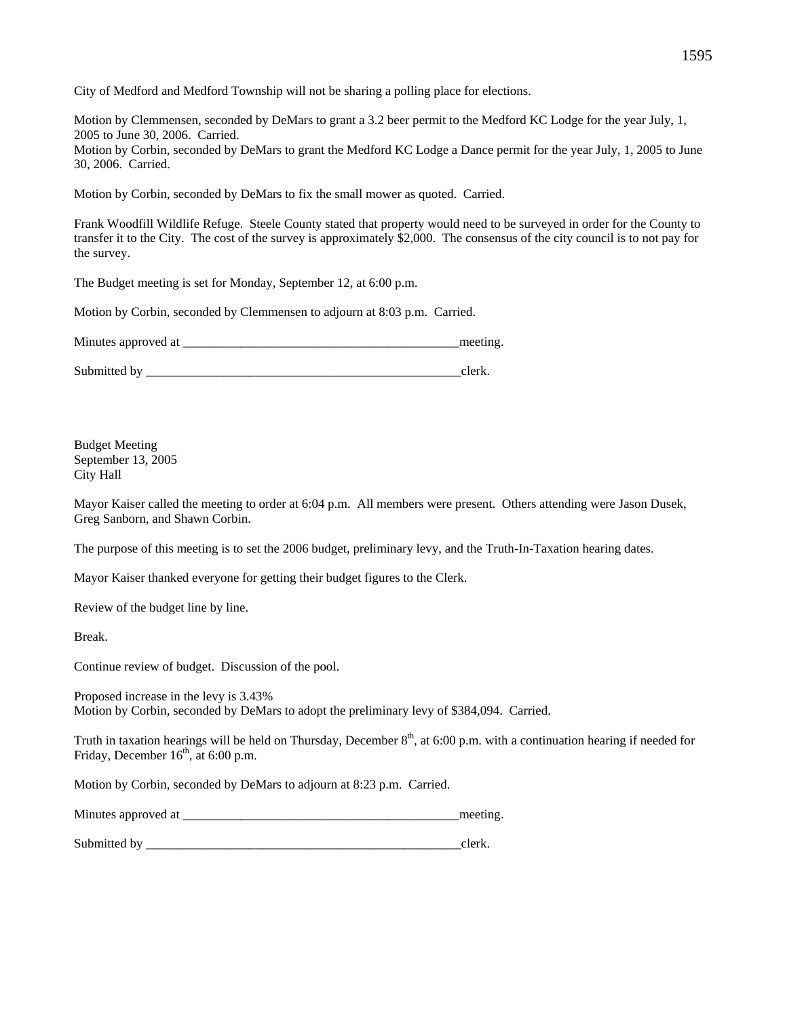City of Medford and Medford Township will not be sharing a polling place for elections.

Motion by Clemmensen, seconded by DeMars to grant a 3.2 beer permit to the Medford KC Lodge for the year July, 1, 2005 to June 30, 2006. Carried. Motion by Corbin, seconded by DeMars to grant the Medford KC Lodge a Dance permit for the year July, 1, 2005 to June

30, 2006. Carried.

Motion by Corbin, seconded by DeMars to fix the small mower as quoted. Carried.

Frank Woodfill Wildlife Refuge. Steele County stated that property would need to be surveyed in order for the County to transfer it to the City. The cost of the survey is approximately \$2,000. The consensus of the city council is to not pay for the survey.

The Budget meeting is set for Monday, September 12, at 6:00 p.m.

Motion by Corbin, seconded by Clemmensen to adjourn at 8:03 p.m. Carried.

Minutes approved at  $\Box$ 

Submitted by \_\_\_\_\_\_\_\_\_\_\_\_\_\_\_\_\_\_\_\_\_\_\_\_\_\_\_\_\_\_\_\_\_\_\_\_\_\_\_\_\_\_\_\_\_\_\_\_\_clerk.

Budget Meeting September 13, 2005 City Hall

Mayor Kaiser called the meeting to order at 6:04 p.m. All members were present. Others attending were Jason Dusek, Greg Sanborn, and Shawn Corbin.

The purpose of this meeting is to set the 2006 budget, preliminary levy, and the Truth-In-Taxation hearing dates.

Mayor Kaiser thanked everyone for getting their budget figures to the Clerk.

Review of the budget line by line.

Break.

Continue review of budget. Discussion of the pool.

Proposed increase in the levy is 3.43% Motion by Corbin, seconded by DeMars to adopt the preliminary levy of \$384,094. Carried.

Truth in taxation hearings will be held on Thursday, December  $8<sup>th</sup>$ , at 6:00 p.m. with a continuation hearing if needed for Friday, December  $16<sup>th</sup>$ , at 6:00 p.m.

Motion by Corbin, seconded by DeMars to adjourn at 8:23 p.m. Carried.

| Minutes approved at |  |
|---------------------|--|
|                     |  |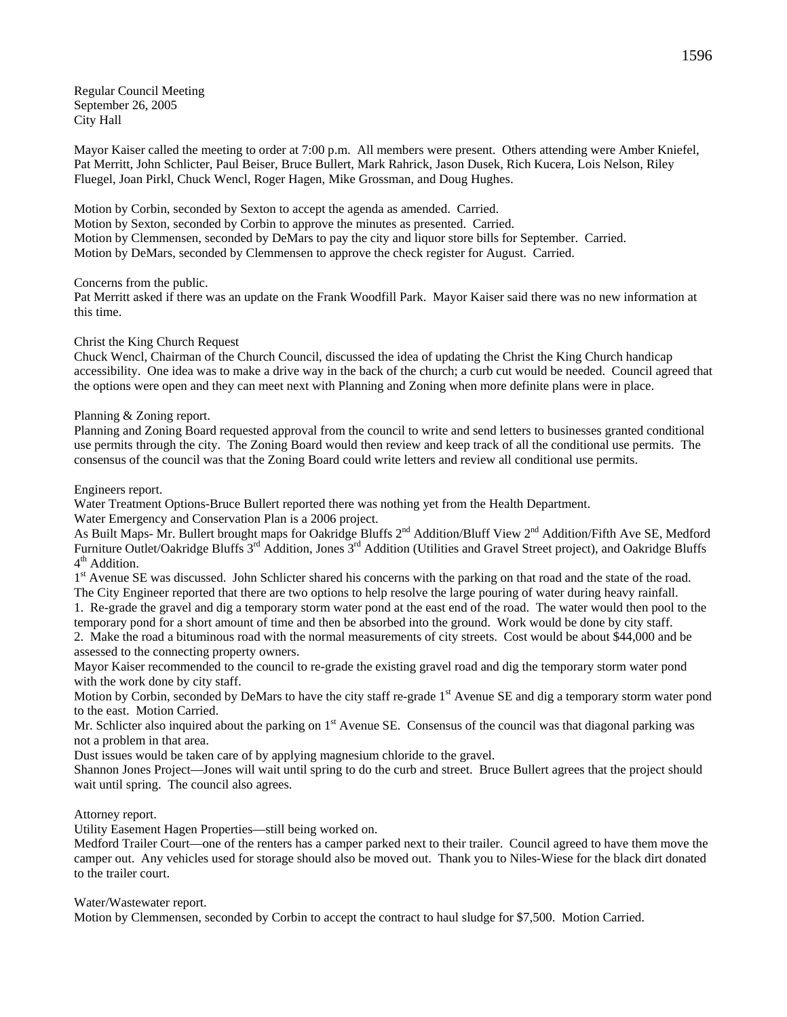Regular Council Meeting September 26, 2005 City Hall

Mayor Kaiser called the meeting to order at 7:00 p.m. All members were present. Others attending were Amber Kniefel, Pat Merritt, John Schlicter, Paul Beiser, Bruce Bullert, Mark Rahrick, Jason Dusek, Rich Kucera, Lois Nelson, Riley Fluegel, Joan Pirkl, Chuck Wencl, Roger Hagen, Mike Grossman, and Doug Hughes.

Motion by Corbin, seconded by Sexton to accept the agenda as amended. Carried. Motion by Sexton, seconded by Corbin to approve the minutes as presented. Carried. Motion by Clemmensen, seconded by DeMars to pay the city and liquor store bills for September. Carried. Motion by DeMars, seconded by Clemmensen to approve the check register for August. Carried.

### Concerns from the public.

Pat Merritt asked if there was an update on the Frank Woodfill Park. Mayor Kaiser said there was no new information at this time.

## Christ the King Church Request

Chuck Wencl, Chairman of the Church Council, discussed the idea of updating the Christ the King Church handicap accessibility. One idea was to make a drive way in the back of the church; a curb cut would be needed. Council agreed that the options were open and they can meet next with Planning and Zoning when more definite plans were in place.

### Planning & Zoning report.

Planning and Zoning Board requested approval from the council to write and send letters to businesses granted conditional use permits through the city. The Zoning Board would then review and keep track of all the conditional use permits. The consensus of the council was that the Zoning Board could write letters and review all conditional use permits.

### Engineers report.

Water Treatment Options-Bruce Bullert reported there was nothing yet from the Health Department. Water Emergency and Conservation Plan is a 2006 project.

As Built Maps- Mr. Bullert brought maps for Oakridge Bluffs 2<sup>nd</sup> Addition/Bluff View 2<sup>nd</sup> Addition/Fifth Ave SE, Medford Furniture Outlet/Oakridge Bluffs 3<sup>rd</sup> Addition, Jones 3<sup>rd</sup> Addition (Utilities and Gravel Street project), and Oakridge Bluffs  $4<sup>th</sup>$  Addition.

1st Avenue SE was discussed. John Schlicter shared his concerns with the parking on that road and the state of the road. The City Engineer reported that there are two options to help resolve the large pouring of water during heavy rainfall.

1. Re-grade the gravel and dig a temporary storm water pond at the east end of the road. The water would then pool to the temporary pond for a short amount of time and then be absorbed into the ground. Work would be done by city staff. 2. Make the road a bituminous road with the normal measurements of city streets. Cost would be about \$44,000 and be assessed to the connecting property owners.

Mayor Kaiser recommended to the council to re-grade the existing gravel road and dig the temporary storm water pond with the work done by city staff.

Motion by Corbin, seconded by DeMars to have the city staff re-grade 1<sup>st</sup> Avenue SE and dig a temporary storm water pond to the east. Motion Carried.

Mr. Schlicter also inquired about the parking on  $1<sup>st</sup>$  Avenue SE. Consensus of the council was that diagonal parking was not a problem in that area.

Dust issues would be taken care of by applying magnesium chloride to the gravel.

Shannon Jones Project—Jones will wait until spring to do the curb and street. Bruce Bullert agrees that the project should wait until spring. The council also agrees.

# Attorney report.

Utility Easement Hagen Properties—still being worked on.

Medford Trailer Court—one of the renters has a camper parked next to their trailer. Council agreed to have them move the camper out. Any vehicles used for storage should also be moved out. Thank you to Niles-Wiese for the black dirt donated to the trailer court.

### Water/Wastewater report.

Motion by Clemmensen, seconded by Corbin to accept the contract to haul sludge for \$7,500. Motion Carried.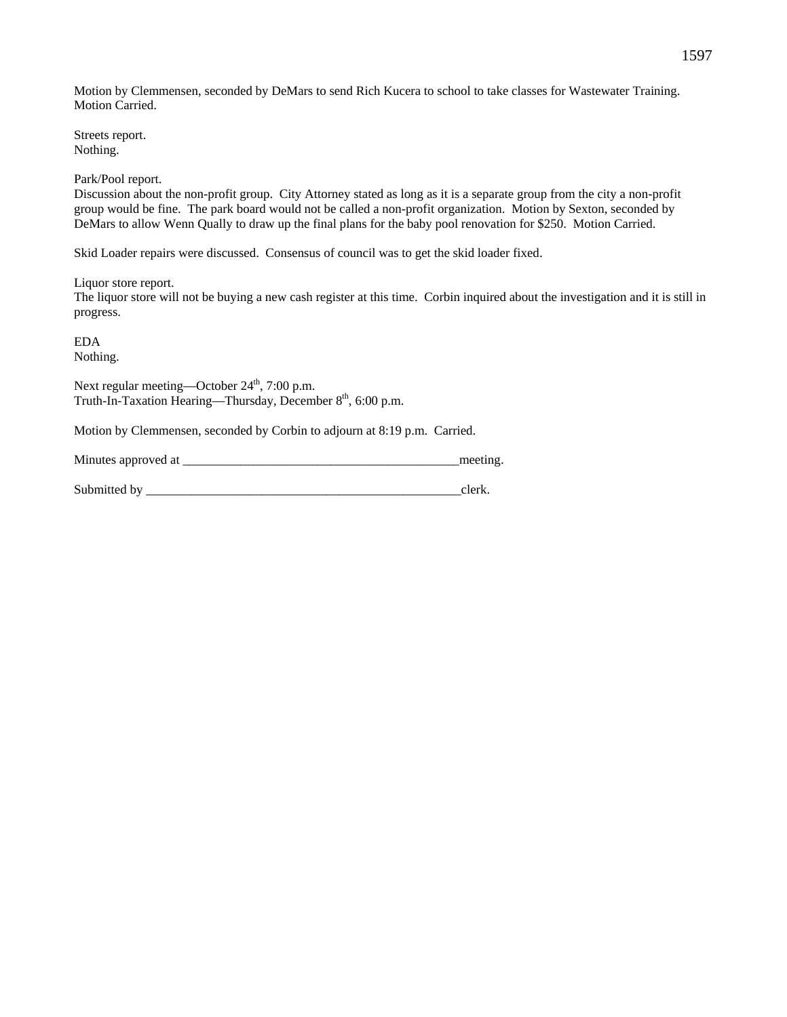Motion by Clemmensen, seconded by DeMars to send Rich Kucera to school to take classes for Wastewater Training. Motion Carried.

Streets report. Nothing.

Park/Pool report.

Discussion about the non-profit group. City Attorney stated as long as it is a separate group from the city a non-profit group would be fine. The park board would not be called a non-profit organization. Motion by Sexton, seconded by DeMars to allow Wenn Qually to draw up the final plans for the baby pool renovation for \$250. Motion Carried.

Skid Loader repairs were discussed. Consensus of council was to get the skid loader fixed.

Liquor store report.

The liquor store will not be buying a new cash register at this time. Corbin inquired about the investigation and it is still in progress.

EDA Nothing.

Next regular meeting—October  $24<sup>th</sup>$ , 7:00 p.m. Truth-In-Taxation Hearing—Thursday, December 8<sup>th</sup>, 6:00 p.m.

Motion by Clemmensen, seconded by Corbin to adjourn at 8:19 p.m. Carried.

Minutes approved at \_\_\_\_\_\_\_\_\_\_\_\_\_\_\_\_\_\_\_\_\_\_\_\_\_\_\_\_\_\_\_\_\_\_\_\_\_\_\_\_\_\_\_meeting.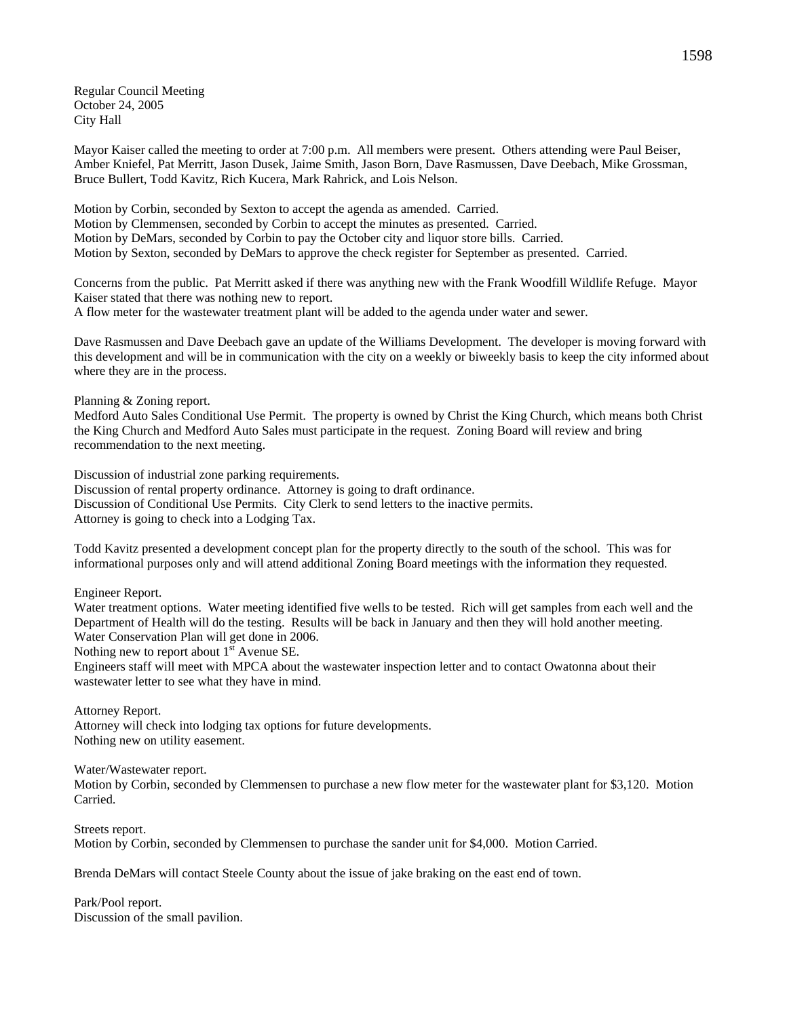Regular Council Meeting October 24, 2005 City Hall

Mayor Kaiser called the meeting to order at 7:00 p.m. All members were present. Others attending were Paul Beiser, Amber Kniefel, Pat Merritt, Jason Dusek, Jaime Smith, Jason Born, Dave Rasmussen, Dave Deebach, Mike Grossman, Bruce Bullert, Todd Kavitz, Rich Kucera, Mark Rahrick, and Lois Nelson.

Motion by Corbin, seconded by Sexton to accept the agenda as amended. Carried. Motion by Clemmensen, seconded by Corbin to accept the minutes as presented. Carried. Motion by DeMars, seconded by Corbin to pay the October city and liquor store bills. Carried. Motion by Sexton, seconded by DeMars to approve the check register for September as presented. Carried.

Concerns from the public. Pat Merritt asked if there was anything new with the Frank Woodfill Wildlife Refuge. Mayor Kaiser stated that there was nothing new to report.

A flow meter for the wastewater treatment plant will be added to the agenda under water and sewer.

Dave Rasmussen and Dave Deebach gave an update of the Williams Development. The developer is moving forward with this development and will be in communication with the city on a weekly or biweekly basis to keep the city informed about where they are in the process.

Planning & Zoning report.

Medford Auto Sales Conditional Use Permit. The property is owned by Christ the King Church, which means both Christ the King Church and Medford Auto Sales must participate in the request. Zoning Board will review and bring recommendation to the next meeting.

Discussion of industrial zone parking requirements. Discussion of rental property ordinance. Attorney is going to draft ordinance. Discussion of Conditional Use Permits. City Clerk to send letters to the inactive permits. Attorney is going to check into a Lodging Tax.

Todd Kavitz presented a development concept plan for the property directly to the south of the school. This was for informational purposes only and will attend additional Zoning Board meetings with the information they requested.

Engineer Report.

Water treatment options. Water meeting identified five wells to be tested. Rich will get samples from each well and the Department of Health will do the testing. Results will be back in January and then they will hold another meeting. Water Conservation Plan will get done in 2006.

Nothing new to report about  $1<sup>st</sup>$  Avenue SE.

Engineers staff will meet with MPCA about the wastewater inspection letter and to contact Owatonna about their wastewater letter to see what they have in mind.

Attorney Report. Attorney will check into lodging tax options for future developments. Nothing new on utility easement.

Water/Wastewater report.

Motion by Corbin, seconded by Clemmensen to purchase a new flow meter for the wastewater plant for \$3,120. Motion Carried.

Streets report. Motion by Corbin, seconded by Clemmensen to purchase the sander unit for \$4,000. Motion Carried.

Brenda DeMars will contact Steele County about the issue of jake braking on the east end of town.

Park/Pool report. Discussion of the small pavilion.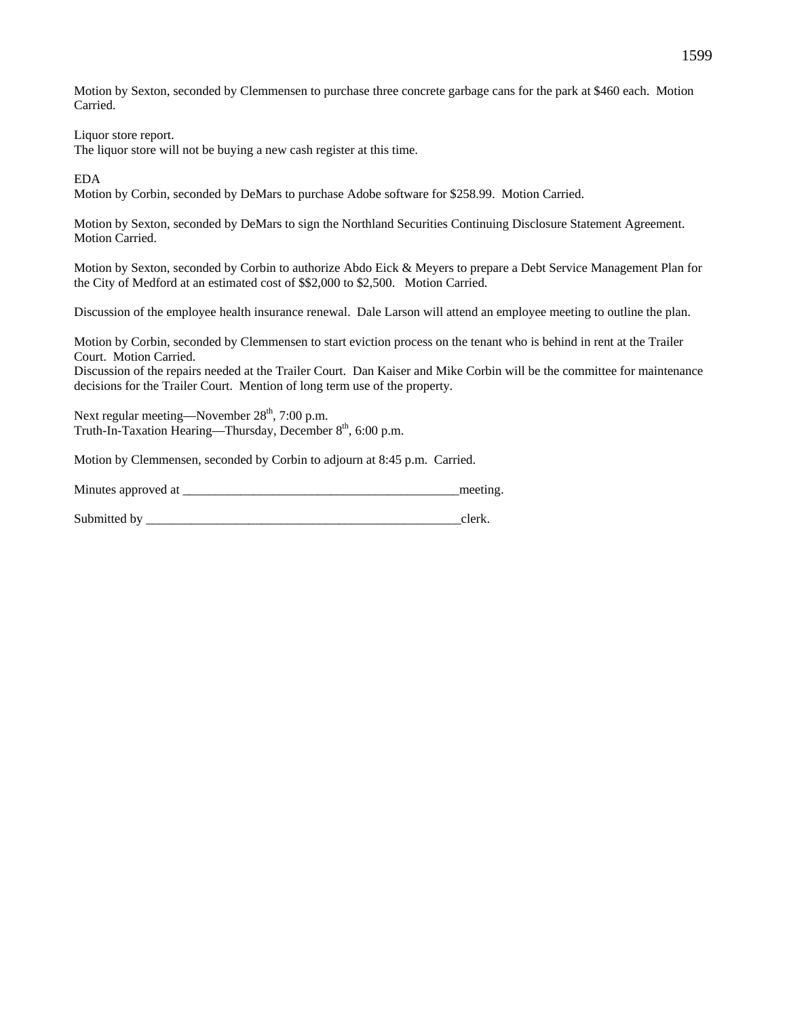Motion by Sexton, seconded by Clemmensen to purchase three concrete garbage cans for the park at \$460 each. Motion Carried.

Liquor store report.

The liquor store will not be buying a new cash register at this time.

EDA

Motion by Corbin, seconded by DeMars to purchase Adobe software for \$258.99. Motion Carried.

Motion by Sexton, seconded by DeMars to sign the Northland Securities Continuing Disclosure Statement Agreement. Motion Carried.

Motion by Sexton, seconded by Corbin to authorize Abdo Eick & Meyers to prepare a Debt Service Management Plan for the City of Medford at an estimated cost of \$\$2,000 to \$2,500. Motion Carried.

Discussion of the employee health insurance renewal. Dale Larson will attend an employee meeting to outline the plan.

Motion by Corbin, seconded by Clemmensen to start eviction process on the tenant who is behind in rent at the Trailer Court. Motion Carried.

Discussion of the repairs needed at the Trailer Court. Dan Kaiser and Mike Corbin will be the committee for maintenance decisions for the Trailer Court. Mention of long term use of the property.

Next regular meeting—November 28<sup>th</sup>, 7:00 p.m. Truth-In-Taxation Hearing—Thursday, December 8<sup>th</sup>, 6:00 p.m.

Motion by Clemmensen, seconded by Corbin to adjourn at 8:45 p.m. Carried.

Minutes approved at \_\_\_\_\_\_\_\_\_\_\_\_\_\_\_\_\_\_\_\_\_\_\_\_\_\_\_\_\_\_\_\_\_\_\_\_\_\_\_\_\_\_\_meeting.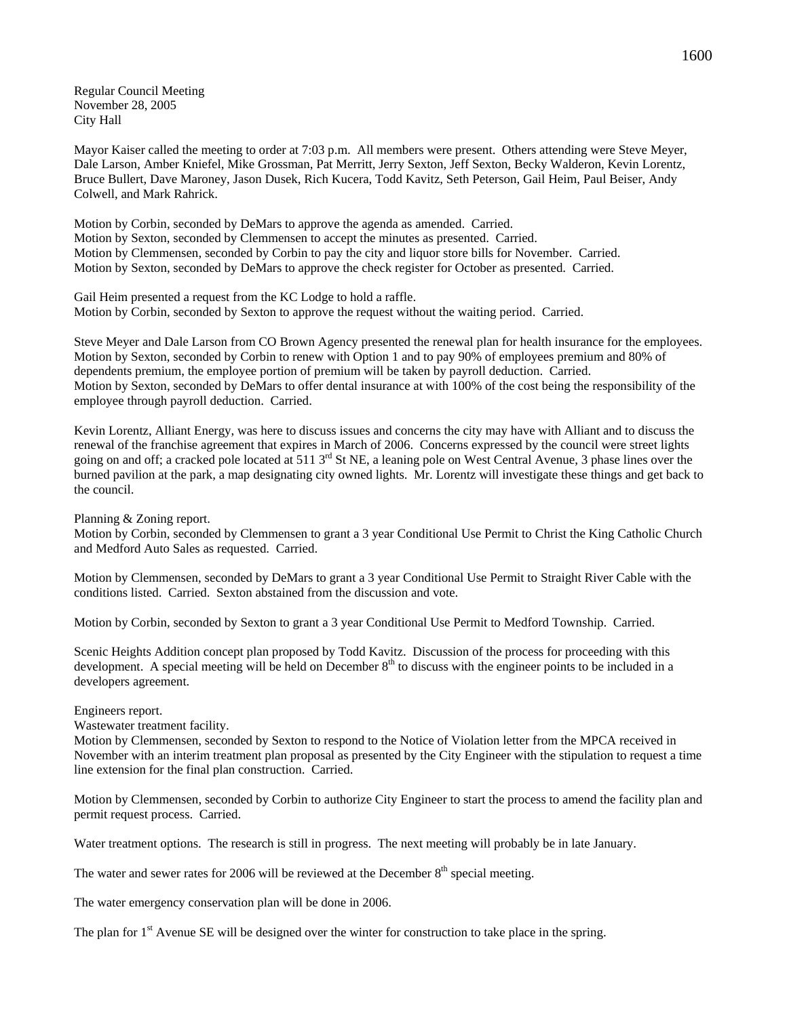Regular Council Meeting November 28, 2005 City Hall

Mayor Kaiser called the meeting to order at 7:03 p.m. All members were present. Others attending were Steve Meyer, Dale Larson, Amber Kniefel, Mike Grossman, Pat Merritt, Jerry Sexton, Jeff Sexton, Becky Walderon, Kevin Lorentz, Bruce Bullert, Dave Maroney, Jason Dusek, Rich Kucera, Todd Kavitz, Seth Peterson, Gail Heim, Paul Beiser, Andy Colwell, and Mark Rahrick.

Motion by Corbin, seconded by DeMars to approve the agenda as amended. Carried. Motion by Sexton, seconded by Clemmensen to accept the minutes as presented. Carried. Motion by Clemmensen, seconded by Corbin to pay the city and liquor store bills for November. Carried. Motion by Sexton, seconded by DeMars to approve the check register for October as presented. Carried.

Gail Heim presented a request from the KC Lodge to hold a raffle. Motion by Corbin, seconded by Sexton to approve the request without the waiting period. Carried.

Steve Meyer and Dale Larson from CO Brown Agency presented the renewal plan for health insurance for the employees. Motion by Sexton, seconded by Corbin to renew with Option 1 and to pay 90% of employees premium and 80% of dependents premium, the employee portion of premium will be taken by payroll deduction. Carried. Motion by Sexton, seconded by DeMars to offer dental insurance at with 100% of the cost being the responsibility of the employee through payroll deduction. Carried.

Kevin Lorentz, Alliant Energy, was here to discuss issues and concerns the city may have with Alliant and to discuss the renewal of the franchise agreement that expires in March of 2006. Concerns expressed by the council were street lights going on and off; a cracked pole located at 511 3<sup>rd</sup> St NE, a leaning pole on West Central Avenue, 3 phase lines over the burned pavilion at the park, a map designating city owned lights. Mr. Lorentz will investigate these things and get back to the council.

Planning & Zoning report.

Motion by Corbin, seconded by Clemmensen to grant a 3 year Conditional Use Permit to Christ the King Catholic Church and Medford Auto Sales as requested. Carried.

Motion by Clemmensen, seconded by DeMars to grant a 3 year Conditional Use Permit to Straight River Cable with the conditions listed. Carried. Sexton abstained from the discussion and vote.

Motion by Corbin, seconded by Sexton to grant a 3 year Conditional Use Permit to Medford Township. Carried.

Scenic Heights Addition concept plan proposed by Todd Kavitz. Discussion of the process for proceeding with this development. A special meeting will be held on December  $8<sup>th</sup>$  to discuss with the engineer points to be included in a developers agreement.

Engineers report.

Wastewater treatment facility.

Motion by Clemmensen, seconded by Sexton to respond to the Notice of Violation letter from the MPCA received in November with an interim treatment plan proposal as presented by the City Engineer with the stipulation to request a time line extension for the final plan construction. Carried.

Motion by Clemmensen, seconded by Corbin to authorize City Engineer to start the process to amend the facility plan and permit request process. Carried.

Water treatment options. The research is still in progress. The next meeting will probably be in late January.

The water and sewer rates for 2006 will be reviewed at the December  $8<sup>th</sup>$  special meeting.

The water emergency conservation plan will be done in 2006.

The plan for  $1<sup>st</sup>$  Avenue SE will be designed over the winter for construction to take place in the spring.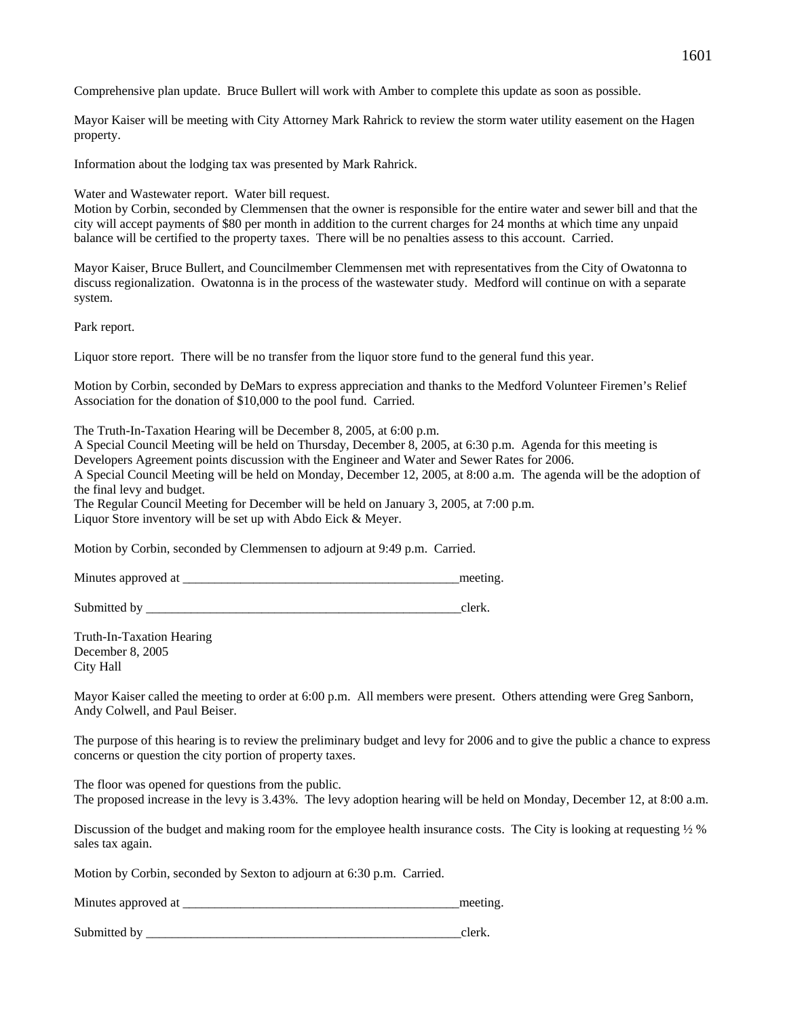Comprehensive plan update. Bruce Bullert will work with Amber to complete this update as soon as possible.

Mayor Kaiser will be meeting with City Attorney Mark Rahrick to review the storm water utility easement on the Hagen property.

Information about the lodging tax was presented by Mark Rahrick.

Water and Wastewater report. Water bill request.

Motion by Corbin, seconded by Clemmensen that the owner is responsible for the entire water and sewer bill and that the city will accept payments of \$80 per month in addition to the current charges for 24 months at which time any unpaid balance will be certified to the property taxes. There will be no penalties assess to this account. Carried.

Mayor Kaiser, Bruce Bullert, and Councilmember Clemmensen met with representatives from the City of Owatonna to discuss regionalization. Owatonna is in the process of the wastewater study. Medford will continue on with a separate system.

Park report.

Liquor store report. There will be no transfer from the liquor store fund to the general fund this year.

Motion by Corbin, seconded by DeMars to express appreciation and thanks to the Medford Volunteer Firemen's Relief Association for the donation of \$10,000 to the pool fund. Carried.

The Truth-In-Taxation Hearing will be December 8, 2005, at 6:00 p.m.

A Special Council Meeting will be held on Thursday, December 8, 2005, at 6:30 p.m. Agenda for this meeting is Developers Agreement points discussion with the Engineer and Water and Sewer Rates for 2006. A Special Council Meeting will be held on Monday, December 12, 2005, at 8:00 a.m. The agenda will be the adoption of the final levy and budget. The Regular Council Meeting for December will be held on January 3, 2005, at 7:00 p.m.

Liquor Store inventory will be set up with Abdo Eick & Meyer.

Motion by Corbin, seconded by Clemmensen to adjourn at 9:49 p.m. Carried.

Minutes approved at \_\_\_\_\_\_\_\_\_\_\_\_\_\_\_\_\_\_\_\_\_\_\_\_\_\_\_\_\_\_\_\_\_\_\_\_\_\_\_\_\_\_\_meeting.

Submitted by \_\_\_\_\_\_\_\_\_\_\_\_\_\_\_\_\_\_\_\_\_\_\_\_\_\_\_\_\_\_\_\_\_\_\_\_\_\_\_\_\_\_\_\_\_\_\_\_\_clerk.

Truth-In-Taxation Hearing December 8, 2005 City Hall

Mayor Kaiser called the meeting to order at 6:00 p.m. All members were present. Others attending were Greg Sanborn, Andy Colwell, and Paul Beiser.

The purpose of this hearing is to review the preliminary budget and levy for 2006 and to give the public a chance to express concerns or question the city portion of property taxes.

The floor was opened for questions from the public. The proposed increase in the levy is 3.43%. The levy adoption hearing will be held on Monday, December 12, at 8:00 a.m.

Discussion of the budget and making room for the employee health insurance costs. The City is looking at requesting  $\frac{1}{2}$  % sales tax again.

Motion by Corbin, seconded by Sexton to adjourn at 6:30 p.m. Carried.

| Minutes approved at | meetin |
|---------------------|--------|
|---------------------|--------|